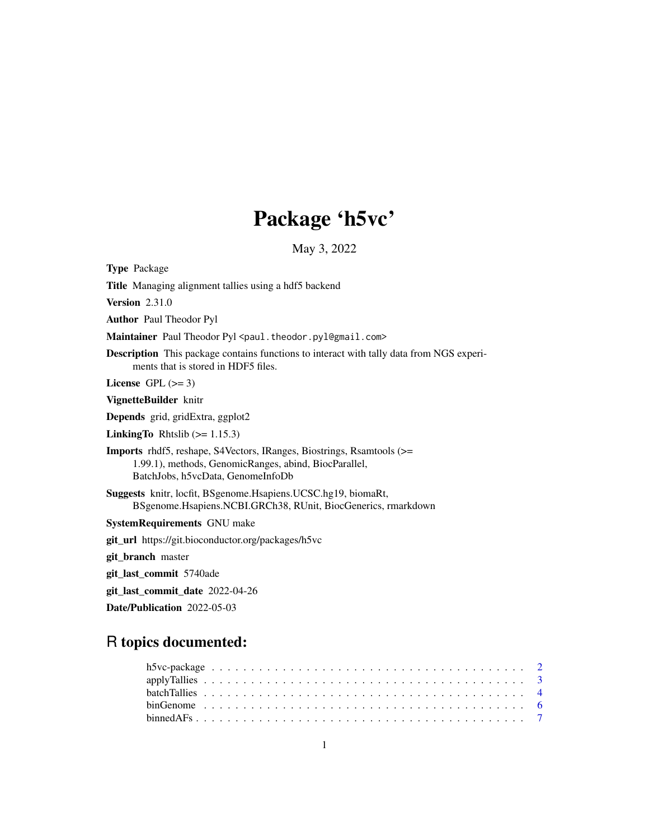# Package 'h5vc'

May 3, 2022

<span id="page-0-0"></span>Type Package Title Managing alignment tallies using a hdf5 backend Version 2.31.0 Author Paul Theodor Pyl Maintainer Paul Theodor Pyl <paul.theodor.pyl@gmail.com> Description This package contains functions to interact with tally data from NGS experiments that is stored in HDF5 files. License GPL  $(>= 3)$ VignetteBuilder knitr Depends grid, gridExtra, ggplot2 **LinkingTo** Rhtslib  $(>= 1.15.3)$ Imports rhdf5, reshape, S4Vectors, IRanges, Biostrings, Rsamtools (>= 1.99.1), methods, GenomicRanges, abind, BiocParallel, BatchJobs, h5vcData, GenomeInfoDb Suggests knitr, locfit, BSgenome.Hsapiens.UCSC.hg19, biomaRt, BSgenome.Hsapiens.NCBI.GRCh38, RUnit, BiocGenerics, rmarkdown SystemRequirements GNU make git\_url https://git.bioconductor.org/packages/h5vc git\_branch master git\_last\_commit 5740ade git\_last\_commit\_date 2022-04-26

Date/Publication 2022-05-03

# R topics documented: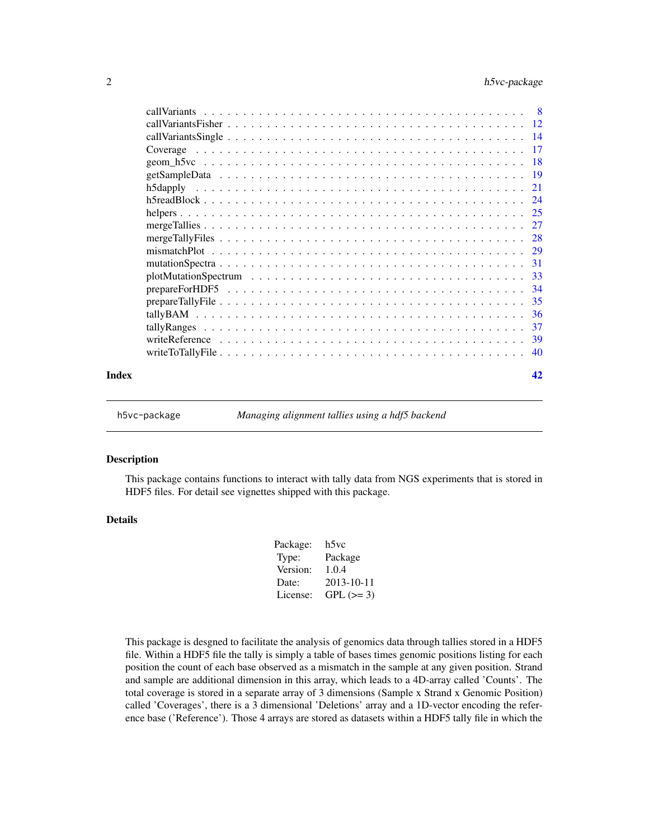<span id="page-1-0"></span>

| Index | 42 |
|-------|----|

h5vc-package *Managing alignment tallies using a hdf5 backend*

#### Description

This package contains functions to interact with tally data from NGS experiments that is stored in HDF5 files. For detail see vignettes shipped with this package.

# Details

| h5vc       |
|------------|
| Package    |
| 1.0.4      |
| 2013-10-11 |
| $GPL (=3)$ |
|            |

This package is desgned to facilitate the analysis of genomics data through tallies stored in a HDF5 file. Within a HDF5 file the tally is simply a table of bases times genomic positions listing for each position the count of each base observed as a mismatch in the sample at any given position. Strand and sample are additional dimension in this array, which leads to a 4D-array called 'Counts'. The total coverage is stored in a separate array of 3 dimensions (Sample x Strand x Genomic Position) called 'Coverages', there is a 3 dimensional 'Deletions' array and a 1D-vector encoding the reference base ('Reference'). Those 4 arrays are stored as datasets within a HDF5 tally file in which the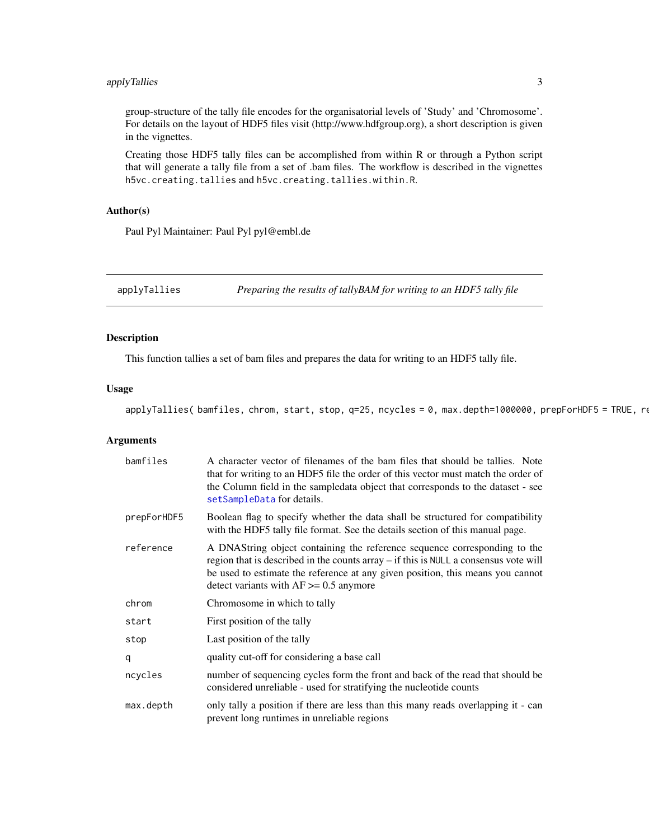# <span id="page-2-0"></span>applyTallies 3

group-structure of the tally file encodes for the organisatorial levels of 'Study' and 'Chromosome'. For details on the layout of HDF5 files visit (http://www.hdfgroup.org), a short description is given in the vignettes.

Creating those HDF5 tally files can be accomplished from within R or through a Python script that will generate a tally file from a set of .bam files. The workflow is described in the vignettes h5vc.creating.tallies and h5vc.creating.tallies.within.R.

# Author(s)

Paul Pyl Maintainer: Paul Pyl pyl@embl.de

applyTallies *Preparing the results of tallyBAM for writing to an HDF5 tally file*

# Description

This function tallies a set of bam files and prepares the data for writing to an HDF5 tally file.

#### Usage

applyTallies( bamfiles, chrom, start, stop, q=25, ncycles = 0, max.depth=1000000, prepForHDF5 = TRUE, re

#### Arguments

| bamfiles    | A character vector of filenames of the bam files that should be tallies. Note<br>that for writing to an HDF5 file the order of this vector must match the order of<br>the Column field in the sampledata object that corresponds to the dataset - see<br>setSampleData for details.              |
|-------------|--------------------------------------------------------------------------------------------------------------------------------------------------------------------------------------------------------------------------------------------------------------------------------------------------|
| prepForHDF5 | Boolean flag to specify whether the data shall be structured for compatibility<br>with the HDF5 tally file format. See the details section of this manual page.                                                                                                                                  |
| reference   | A DNAString object containing the reference sequence corresponding to the<br>region that is described in the counts array – if this is NULL a consensus vote will<br>be used to estimate the reference at any given position, this means you cannot<br>detect variants with $AF \ge 0.5$ anymore |
| chrom       | Chromosome in which to tally                                                                                                                                                                                                                                                                     |
| start       | First position of the tally                                                                                                                                                                                                                                                                      |
| stop        | Last position of the tally                                                                                                                                                                                                                                                                       |
| q           | quality cut-off for considering a base call                                                                                                                                                                                                                                                      |
| ncycles     | number of sequencing cycles form the front and back of the read that should be<br>considered unreliable - used for stratifying the nucleotide counts                                                                                                                                             |
| max.depth   | only tally a position if there are less than this many reads overlapping it - can<br>prevent long runtimes in unreliable regions                                                                                                                                                                 |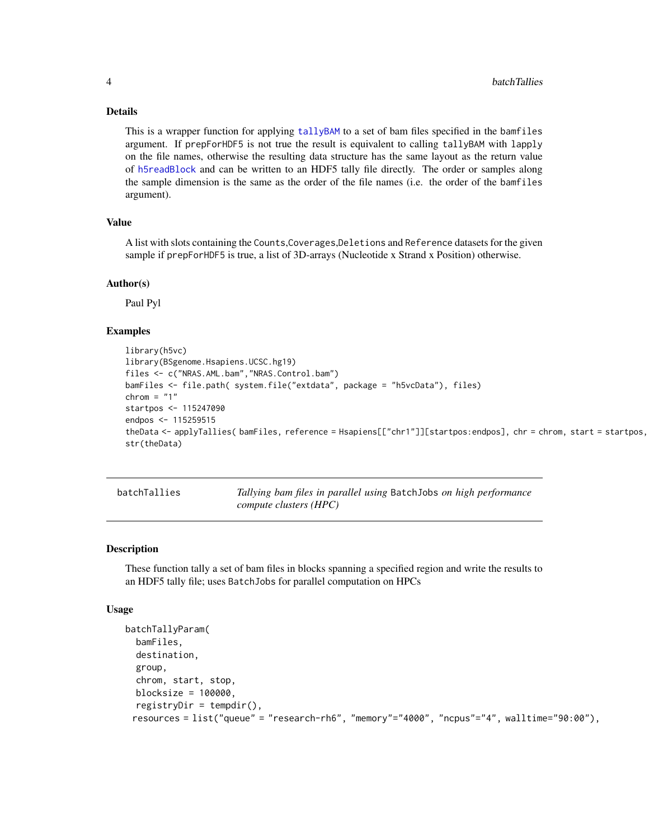#### Details

This is a wrapper function for applying [tallyBAM](#page-35-1) to a set of bam files specified in the bamfiles argument. If prepForHDF5 is not true the result is equivalent to calling tallyBAM with lapply on the file names, otherwise the resulting data structure has the same layout as the return value of [h5readBlock](#page-23-1) and can be written to an HDF5 tally file directly. The order or samples along the sample dimension is the same as the order of the file names (i.e. the order of the bamfiles argument).

# Value

A list with slots containing the Counts,Coverages,Deletions and Reference datasets for the given sample if prepForHDF5 is true, a list of 3D-arrays (Nucleotide x Strand x Position) otherwise.

# Author(s)

Paul Pyl

# Examples

```
library(h5vc)
library(BSgenome.Hsapiens.UCSC.hg19)
files <- c("NRAS.AML.bam","NRAS.Control.bam")
bamFiles <- file.path( system.file("extdata", package = "h5vcData"), files)
chrom = "1"startpos <- 115247090
endpos <- 115259515
theData <- applyTallies( bamFiles, reference = Hsapiens[["chr1"]][startpos:endpos], chr = chrom, start = startpos,
str(theData)
```
batchTallies *Tallying bam files in parallel using* BatchJobs *on high performance compute clusters (HPC)*

#### Description

These function tally a set of bam files in blocks spanning a specified region and write the results to an HDF5 tally file; uses BatchJobs for parallel computation on HPCs

#### Usage

```
batchTallyParam(
  bamFiles,
  destination,
  group,
  chrom, start, stop,
 blocksize = 100000,
  registeryDir = template(),resources = list("queue" = "research-rh6", "memory"="4000", "ncpus"="4", walltime="90:00"),
```
<span id="page-3-0"></span>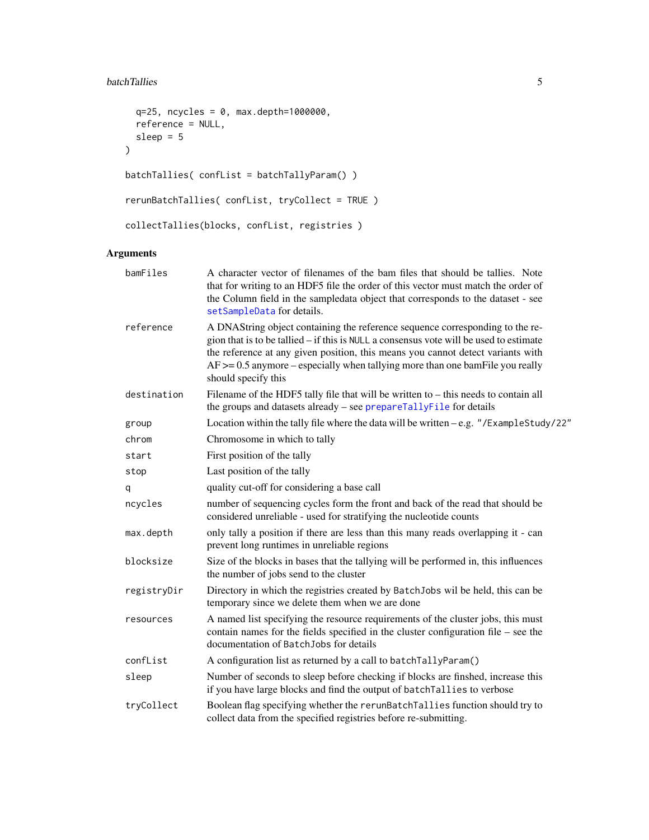# <span id="page-4-0"></span>batchTallies 5

```
q=25, ncycles = 0, max.depth=1000000,
  reference = NULL,
  sleep = 5\lambdabatchTallies( confList = batchTallyParam() )
rerunBatchTallies( confList, tryCollect = TRUE )
collectTallies(blocks, confList, registries )
```
# Arguments

| bamFiles    | A character vector of filenames of the bam files that should be tallies. Note<br>that for writing to an HDF5 file the order of this vector must match the order of<br>the Column field in the sampledata object that corresponds to the dataset - see<br>setSampleData for details.                                                                                    |
|-------------|------------------------------------------------------------------------------------------------------------------------------------------------------------------------------------------------------------------------------------------------------------------------------------------------------------------------------------------------------------------------|
| reference   | A DNAString object containing the reference sequence corresponding to the re-<br>gion that is to be tallied – if this is NULL a consensus vote will be used to estimate<br>the reference at any given position, this means you cannot detect variants with<br>$AF \ge 0.5$ anymore – especially when tallying more than one bam File you really<br>should specify this |
| destination | Filename of the HDF5 tally file that will be written to – this needs to contain all<br>the groups and datasets already - see prepareTallyFile for details                                                                                                                                                                                                              |
| group       | Location within the tally file where the data will be written $-e.g.$ "/ExampleStudy/22"                                                                                                                                                                                                                                                                               |
| chrom       | Chromosome in which to tally                                                                                                                                                                                                                                                                                                                                           |
| start       | First position of the tally                                                                                                                                                                                                                                                                                                                                            |
| stop        | Last position of the tally                                                                                                                                                                                                                                                                                                                                             |
| q           | quality cut-off for considering a base call                                                                                                                                                                                                                                                                                                                            |
| ncycles     | number of sequencing cycles form the front and back of the read that should be<br>considered unreliable - used for stratifying the nucleotide counts                                                                                                                                                                                                                   |
| max.depth   | only tally a position if there are less than this many reads overlapping it - can<br>prevent long runtimes in unreliable regions                                                                                                                                                                                                                                       |
| blocksize   | Size of the blocks in bases that the tallying will be performed in, this influences<br>the number of jobs send to the cluster                                                                                                                                                                                                                                          |
| registryDir | Directory in which the registries created by Batch Jobs wil be held, this can be<br>temporary since we delete them when we are done                                                                                                                                                                                                                                    |
| resources   | A named list specifying the resource requirements of the cluster jobs, this must<br>contain names for the fields specified in the cluster configuration file $-$ see the<br>documentation of BatchJobs for details                                                                                                                                                     |
| confList    | A configuration list as returned by a call to batchTallyParam()                                                                                                                                                                                                                                                                                                        |
| sleep       | Number of seconds to sleep before checking if blocks are finshed, increase this<br>if you have large blocks and find the output of batchTallies to verbose                                                                                                                                                                                                             |
| tryCollect  | Boolean flag specifying whether the rerunBatchTallies function should try to<br>collect data from the specified registries before re-submitting.                                                                                                                                                                                                                       |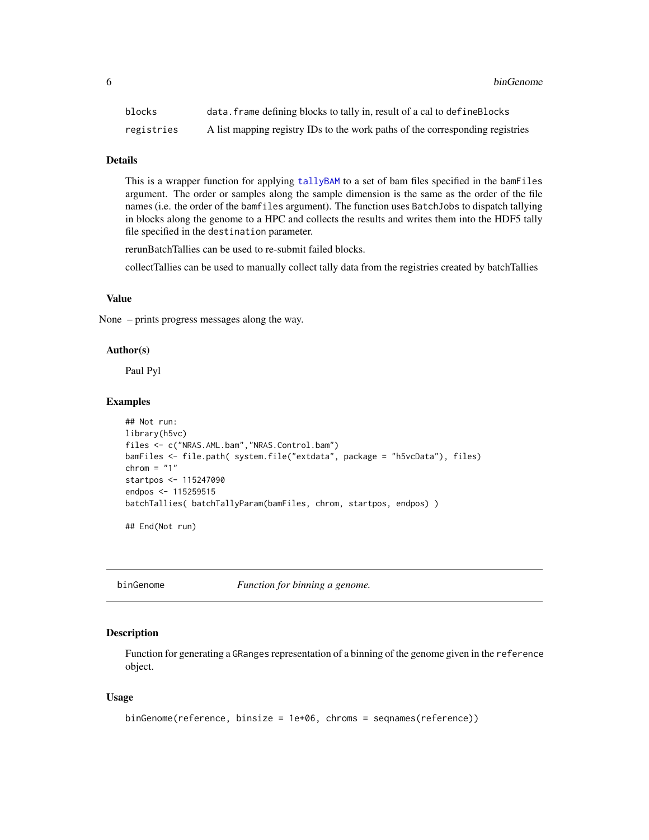<span id="page-5-0"></span>6 binGenome binGenome binGenome binGenome binGenome binGenome binGenome binGenome binGenome binGenome binGenom

| blocks     | data. frame defining blocks to tally in, result of a cal to defineBlocks      |
|------------|-------------------------------------------------------------------------------|
| registries | A list mapping registry IDs to the work paths of the corresponding registries |

# **Details**

This is a wrapper function for applying [tallyBAM](#page-35-1) to a set of bam files specified in the bamFiles argument. The order or samples along the sample dimension is the same as the order of the file names (i.e. the order of the bamfiles argument). The function uses BatchJobs to dispatch tallying in blocks along the genome to a HPC and collects the results and writes them into the HDF5 tally file specified in the destination parameter.

rerunBatchTallies can be used to re-submit failed blocks.

collectTallies can be used to manually collect tally data from the registries created by batchTallies

#### Value

None – prints progress messages along the way.

#### Author(s)

Paul Pyl

# Examples

```
## Not run:
library(h5vc)
files <- c("NRAS.AML.bam","NRAS.Control.bam")
bamFiles <- file.path( system.file("extdata", package = "h5vcData"), files)
chrom = "1"startpos <- 115247090
endpos <- 115259515
batchTallies( batchTallyParam(bamFiles, chrom, startpos, endpos) )
```
## End(Not run)

<span id="page-5-1"></span>binGenome *Function for binning a genome.*

#### Description

Function for generating a GRanges representation of a binning of the genome given in the reference object.

#### Usage

```
binGenome(reference, binsize = 1e+06, chroms = seqnames(reference))
```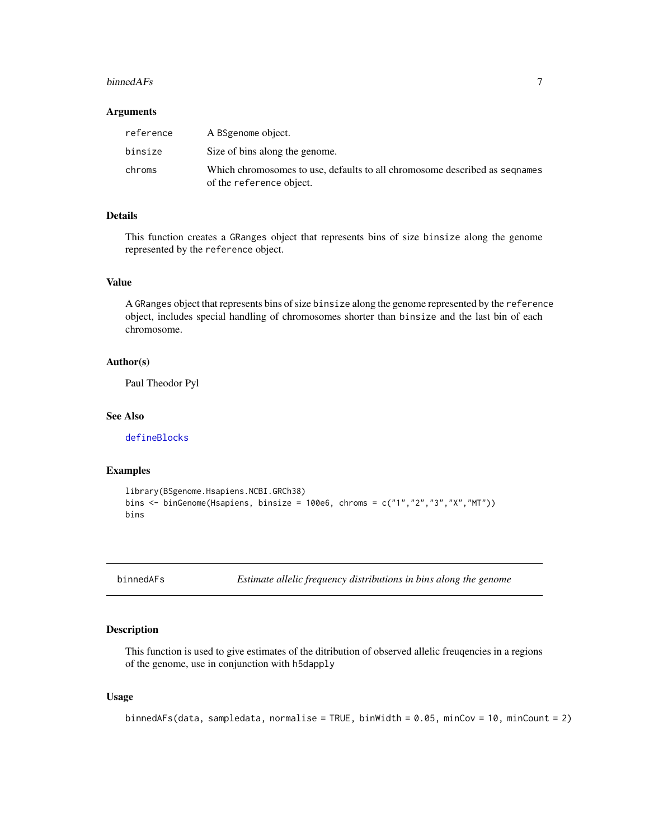#### <span id="page-6-0"></span>binned $AFs$  7

#### **Arguments**

| reference | A BSgenome object.                                                                                     |
|-----------|--------------------------------------------------------------------------------------------------------|
| binsize   | Size of bins along the genome.                                                                         |
| chroms    | Which chromosomes to use, defaults to all chromosome described as segnames<br>of the reference object. |

# Details

This function creates a GRanges object that represents bins of size binsize along the genome represented by the reference object.

#### Value

A GRanges object that represents bins of size binsize along the genome represented by the reference object, includes special handling of chromosomes shorter than binsize and the last bin of each chromosome.

# Author(s)

Paul Theodor Pyl

#### See Also

[defineBlocks](#page-24-1)

#### Examples

```
library(BSgenome.Hsapiens.NCBI.GRCh38)
bins \le binGenome(Hsapiens, binsize = 100e6, chroms = c("1","2","3","X","MT"))
bins
```
binnedAFs *Estimate allelic frequency distributions in bins along the genome*

# Description

This function is used to give estimates of the ditribution of observed allelic freuqencies in a regions of the genome, use in conjunction with h5dapply

#### Usage

binnedAFs(data, sampledata, normalise = TRUE, binWidth =  $0.05$ , minCov = 10, minCount = 2)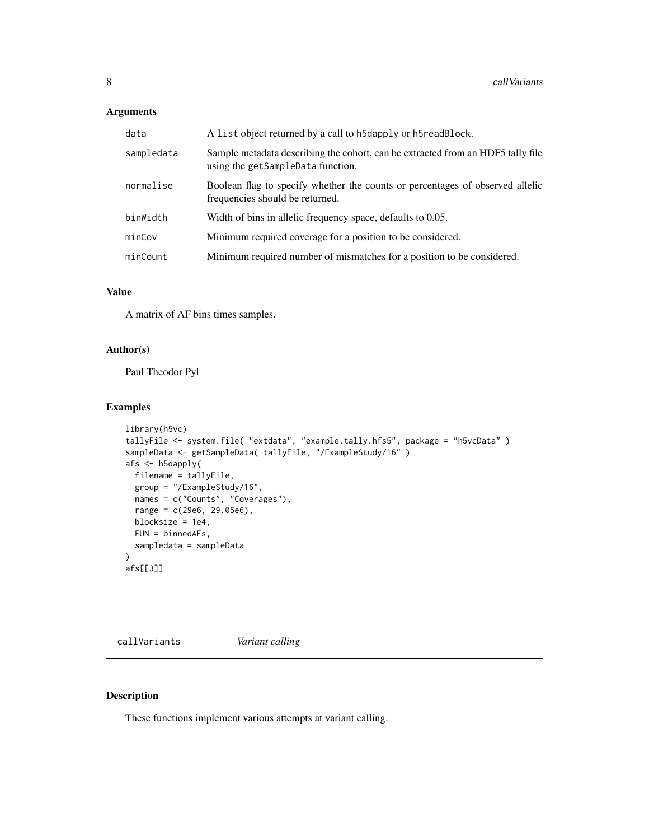# <span id="page-7-0"></span>Arguments

| data       | A list object returned by a call to h5dapply or h5readBlock.                                                         |
|------------|----------------------------------------------------------------------------------------------------------------------|
| sampledata | Sample metadata describing the cohort, can be extracted from an HDF5 tally file<br>using the getSampleData function. |
| normalise  | Boolean flag to specify whether the counts or percentages of observed allelic<br>frequencies should be returned.     |
| binWidth   | Width of bins in allelic frequency space, defaults to 0.05.                                                          |
| minCov     | Minimum required coverage for a position to be considered.                                                           |
| minCount   | Minimum required number of mismatches for a position to be considered.                                               |

# Value

A matrix of AF bins times samples.

# Author(s)

Paul Theodor Pyl

# Examples

```
library(h5vc)
tallyFile <- system.file( "extdata", "example.tally.hfs5", package = "h5vcData" )
sampleData <- getSampleData( tallyFile, "/ExampleStudy/16" )
afs <- h5dapply(
  filename = tallyFile,
  group = "/ExampleStudy/16",
 names = c("Counts", "Coverages"),
 range = c(29e6, 29.05e6),
 blocksize = 1e4,
  FUN = binnedAFs,
  sampledata = sampleData
)
afs[[3]]
```
callVariants *Variant calling*

# Description

These functions implement various attempts at variant calling.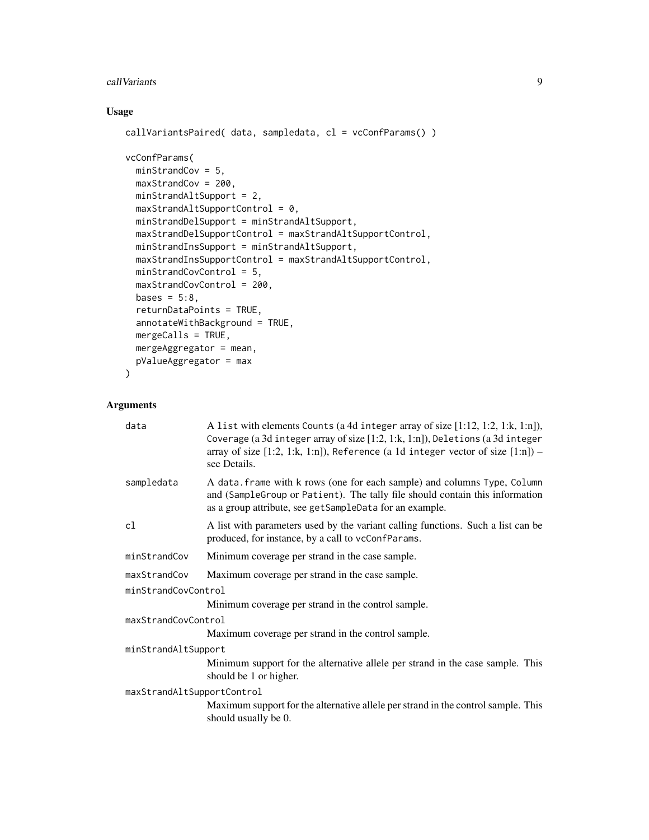#### call Variants **9**

# Usage

```
callVariantsPaired( data, sampledata, cl = vcConfParams() )
vcConfParams(
 minStrandCov = 5,
 maxStrandCov = 200,
 minStrandAltSupport = 2,
 maxStrandAltSupportControl = 0,minStrandDelSupport = minStrandAltSupport,
 maxStrandDelSupportControl = maxStrandAltSupportControl,
 minStrandInsSupport = minStrandAltSupport,
 maxStrandInsSupportControl = maxStrandAltSupportControl,
 minStrandCovControl = 5,
 maxStrandCovControl = 200,
 bases = 5:8,
  returnDataPoints = TRUE,
  annotateWithBackground = TRUE,
 mergeCalls = TRUE,
 mergeAggregator = mean,
 pValueAggregator = max
)
```
# Arguments

| A list with elements Counts (a 4d integer array of size $[1:12, 1:2, 1:k, 1:n]$ ),<br>Coverage (a 3d integer array of size [1:2, 1:k, 1:n]), Deletions (a 3d integer<br>array of size $[1:2, 1:k, 1:n]$ ), Reference (a 1d integer vector of size $[1:n]$ ) –<br>see Details. |  |  |
|-------------------------------------------------------------------------------------------------------------------------------------------------------------------------------------------------------------------------------------------------------------------------------|--|--|
| A data. frame with k rows (one for each sample) and columns Type, Column<br>and (SampleGroup or Patient). The tally file should contain this information<br>as a group attribute, see getSampleData for an example.                                                           |  |  |
| A list with parameters used by the variant calling functions. Such a list can be<br>produced, for instance, by a call to vcConfParams.                                                                                                                                        |  |  |
| Minimum coverage per strand in the case sample.                                                                                                                                                                                                                               |  |  |
| Maximum coverage per strand in the case sample.                                                                                                                                                                                                                               |  |  |
| minStrandCovControl                                                                                                                                                                                                                                                           |  |  |
| Minimum coverage per strand in the control sample.                                                                                                                                                                                                                            |  |  |
| maxStrandCovControl                                                                                                                                                                                                                                                           |  |  |
| Maximum coverage per strand in the control sample.                                                                                                                                                                                                                            |  |  |
| minStrandAltSupport                                                                                                                                                                                                                                                           |  |  |
| Minimum support for the alternative allele per strand in the case sample. This<br>should be 1 or higher.                                                                                                                                                                      |  |  |
| maxStrandAltSupportControl                                                                                                                                                                                                                                                    |  |  |
| Maximum support for the alternative allele per strand in the control sample. This<br>should usually be 0.                                                                                                                                                                     |  |  |
|                                                                                                                                                                                                                                                                               |  |  |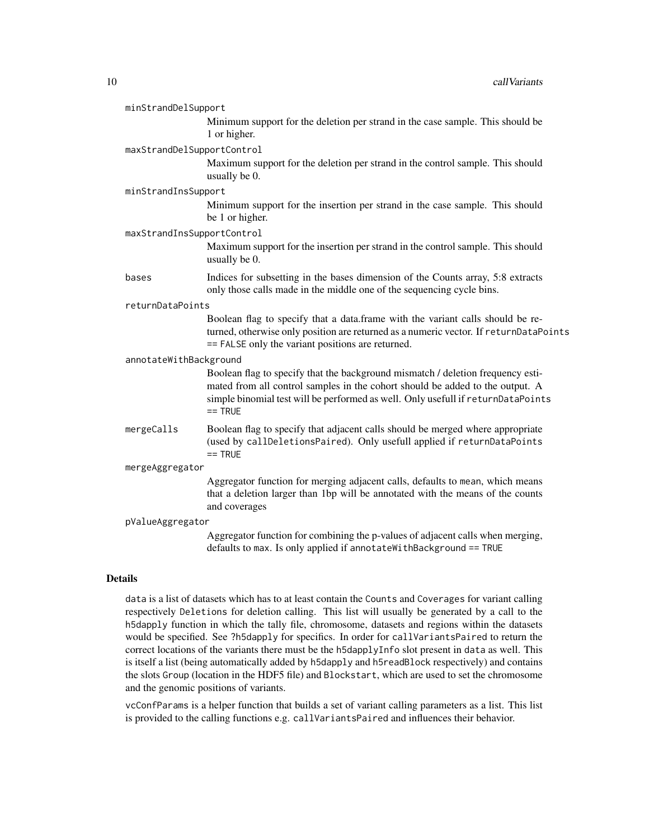| minStrandDelSupport        |                                                                                                                                                                                                                                                                   |  |
|----------------------------|-------------------------------------------------------------------------------------------------------------------------------------------------------------------------------------------------------------------------------------------------------------------|--|
|                            | Minimum support for the deletion per strand in the case sample. This should be<br>1 or higher.                                                                                                                                                                    |  |
| maxStrandDelSupportControl |                                                                                                                                                                                                                                                                   |  |
|                            | Maximum support for the deletion per strand in the control sample. This should<br>usually be 0.                                                                                                                                                                   |  |
| minStrandInsSupport        |                                                                                                                                                                                                                                                                   |  |
|                            | Minimum support for the insertion per strand in the case sample. This should<br>be 1 or higher.                                                                                                                                                                   |  |
| maxStrandInsSupportControl |                                                                                                                                                                                                                                                                   |  |
|                            | Maximum support for the insertion per strand in the control sample. This should<br>usually be 0.                                                                                                                                                                  |  |
| bases                      | Indices for subsetting in the bases dimension of the Counts array, 5:8 extracts<br>only those calls made in the middle one of the sequencing cycle bins.                                                                                                          |  |
| returnDataPoints           |                                                                                                                                                                                                                                                                   |  |
|                            | Boolean flag to specify that a data.frame with the variant calls should be re-<br>turned, otherwise only position are returned as a numeric vector. If returnDataPoints<br>== FALSE only the variant positions are returned.                                      |  |
| annotateWithBackground     |                                                                                                                                                                                                                                                                   |  |
|                            | Boolean flag to specify that the background mismatch / deletion frequency esti-<br>mated from all control samples in the cohort should be added to the output. A<br>simple binomial test will be performed as well. Only usefull if returnDataPoints<br>$==$ TRUE |  |
| mergeCalls                 | Boolean flag to specify that adjacent calls should be merged where appropriate<br>(used by callDeletionsPaired). Only usefull applied if returnDataPoints<br>$==$ TRUE                                                                                            |  |
| mergeAggregator            |                                                                                                                                                                                                                                                                   |  |
|                            | Aggregator function for merging adjacent calls, defaults to mean, which means<br>that a deletion larger than 1bp will be annotated with the means of the counts<br>and coverages                                                                                  |  |
| pValueAggregator           |                                                                                                                                                                                                                                                                   |  |
|                            | Aggregator function for combining the p-values of adjacent calls when merging,<br>defaults to max. Is only applied if annotateWithBackground == TRUE                                                                                                              |  |

# Details

data is a list of datasets which has to at least contain the Counts and Coverages for variant calling respectively Deletions for deletion calling. This list will usually be generated by a call to the h5dapply function in which the tally file, chromosome, datasets and regions within the datasets would be specified. See ?h5dapply for specifics. In order for callVariantsPaired to return the correct locations of the variants there must be the h5dapplyInfo slot present in data as well. This is itself a list (being automatically added by h5dapply and h5readBlock respectively) and contains the slots Group (location in the HDF5 file) and Blockstart, which are used to set the chromosome and the genomic positions of variants.

vcConfParams is a helper function that builds a set of variant calling parameters as a list. This list is provided to the calling functions e.g. callVariantsPaired and influences their behavior.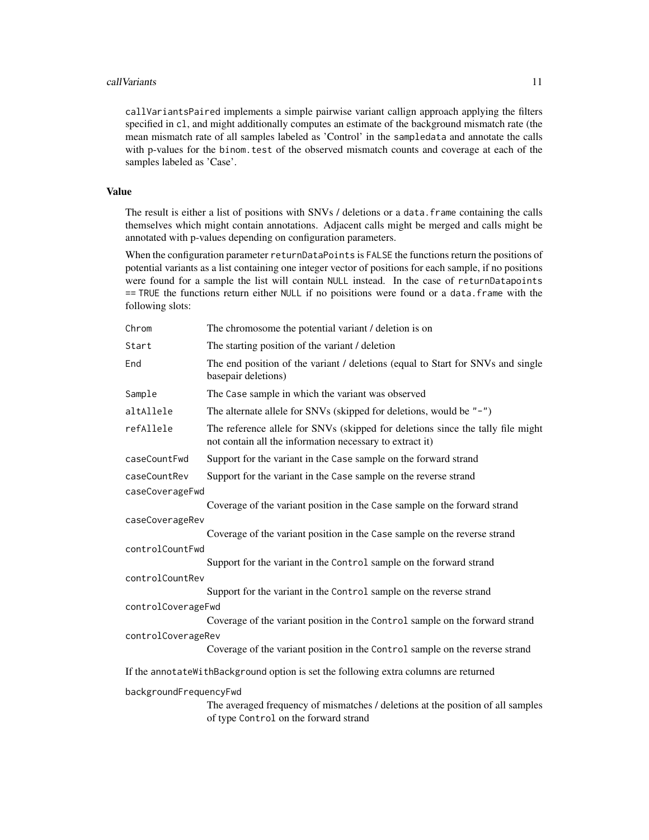#### call Variants the contract of the contract of the contract of the contract of the contract of the contract of the contract of the contract of the contract of the contract of the contract of the contract of the contract of

callVariantsPaired implements a simple pairwise variant callign approach applying the filters specified in cl, and might additionally computes an estimate of the background mismatch rate (the mean mismatch rate of all samples labeled as 'Control' in the sampledata and annotate the calls with p-values for the binom.test of the observed mismatch counts and coverage at each of the samples labeled as 'Case'.

# Value

The result is either a list of positions with SNVs / deletions or a data. frame containing the calls themselves which might contain annotations. Adjacent calls might be merged and calls might be annotated with p-values depending on configuration parameters.

When the configuration parameter returnDataPoints is FALSE the functions return the positions of potential variants as a list containing one integer vector of positions for each sample, if no positions were found for a sample the list will contain NULL instead. In the case of returnDatapoints == TRUE the functions return either NULL if no poisitions were found or a data.frame with the following slots:

| Chrom                  | The chromosome the potential variant / deletion is on                                                                                       |  |
|------------------------|---------------------------------------------------------------------------------------------------------------------------------------------|--|
| Start                  | The starting position of the variant / deletion                                                                                             |  |
| End                    | The end position of the variant / deletions (equal to Start for SNVs and single<br>basepair deletions)                                      |  |
| Sample                 | The Case sample in which the variant was observed                                                                                           |  |
| altAllele              | The alternate allele for SNVs (skipped for deletions, would be $"$ -")                                                                      |  |
| refAllele              | The reference allele for SNVs (skipped for deletions since the tally file might<br>not contain all the information necessary to extract it) |  |
| caseCountFwd           | Support for the variant in the Case sample on the forward strand                                                                            |  |
| caseCountRev           | Support for the variant in the Case sample on the reverse strand                                                                            |  |
| caseCoverageFwd        |                                                                                                                                             |  |
|                        | Coverage of the variant position in the Case sample on the forward strand                                                                   |  |
| caseCoverageRev        |                                                                                                                                             |  |
|                        | Coverage of the variant position in the Case sample on the reverse strand                                                                   |  |
| controlCountFwd        |                                                                                                                                             |  |
|                        | Support for the variant in the Control sample on the forward strand                                                                         |  |
| controlCountRev        |                                                                                                                                             |  |
|                        | Support for the variant in the Control sample on the reverse strand                                                                         |  |
| controlCoverageFwd     |                                                                                                                                             |  |
|                        | Coverage of the variant position in the Control sample on the forward strand                                                                |  |
| controlCoverageRev     |                                                                                                                                             |  |
|                        | Coverage of the variant position in the Control sample on the reverse strand                                                                |  |
|                        | If the annotateWithBackground option is set the following extra columns are returned                                                        |  |
| backgroundFrequencyFwd |                                                                                                                                             |  |
|                        | The averaged frequency of mismatches / deletions at the position of all samples<br>of type Control on the forward strand                    |  |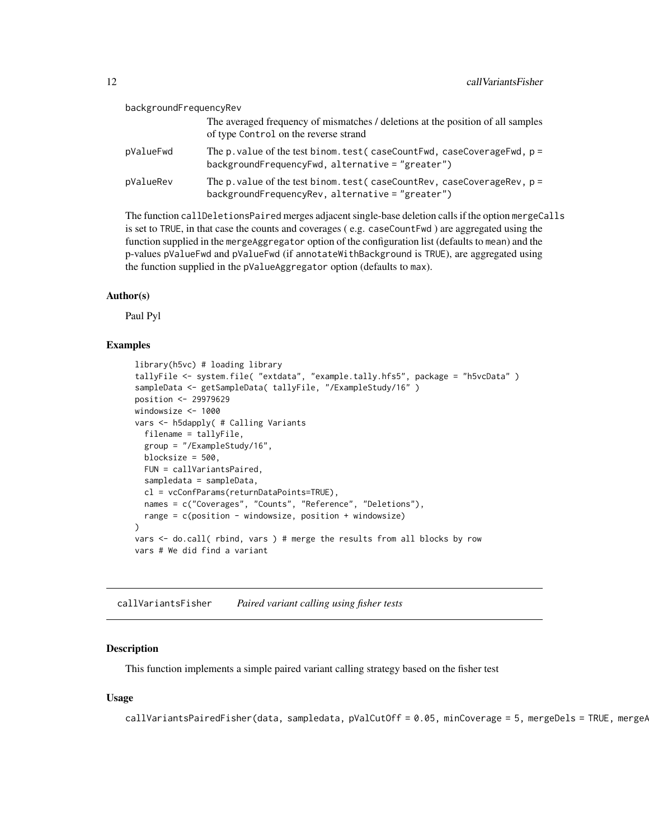<span id="page-11-0"></span>

| backgroundFrequencyRev |                                                                                                                                |
|------------------------|--------------------------------------------------------------------------------------------------------------------------------|
|                        | The averaged frequency of mismatches / deletions at the position of all samples<br>of type Control on the reverse strand       |
| pValueFwd              | The p. value of the test binom. test (caseCountFwd, caseCoverageFwd, $p =$<br>backgroundFrequencyFwd, alternative = "greater") |
| pValueRev              | The p. value of the test binom. test (caseCountRev, caseCoverageRev, $p =$<br>backgroundFrequencyRev, alternative = "greater") |

The function callDeletionsPaired merges adjacent single-base deletion calls if the option mergeCalls is set to TRUE, in that case the counts and coverages ( e.g. caseCountFwd ) are aggregated using the function supplied in the mergeAggregator option of the configuration list (defaults to mean) and the p-values pValueFwd and pValueFwd (if annotateWithBackground is TRUE), are aggregated using the function supplied in the pValueAggregator option (defaults to max).

#### Author(s)

Paul Pyl

# Examples

```
library(h5vc) # loading library
tallyFile <- system.file( "extdata", "example.tally.hfs5", package = "h5vcData" )
sampleData <- getSampleData( tallyFile, "/ExampleStudy/16" )
position <- 29979629
windowsize <- 1000
vars <- h5dapply( # Calling Variants
  filename = tallyFile,
  group = "/ExampleStudy/16",
 blocksize = 500,
 FUN = callVariantsPaired,
  sampledata = sampleData,
  cl = vcConfParams(returnDataPoints=TRUE),
  names = c("Coverages", "Counts", "Reference", "Deletions"),
 range = c(position - windowsize, position + windowsize)
)
vars <- do.call( rbind, vars ) # merge the results from all blocks by row
vars # We did find a variant
```
callVariantsFisher *Paired variant calling using fisher tests*

#### **Description**

This function implements a simple paired variant calling strategy based on the fisher test

#### Usage

 $callVariantsPairedFisher(data, sampled data, pValCutOff = 0.05, minCoverage = 5, mergePels = TRUE, mergeP$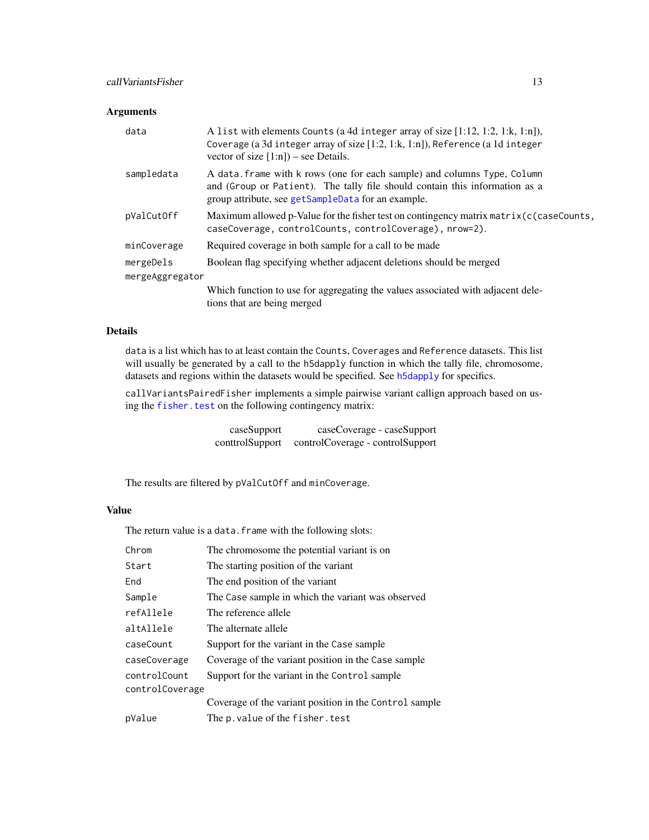# <span id="page-12-0"></span>Arguments

| data            | A list with elements Counts (a 4d integer array of size [1:12, 1:2, 1:k, 1:n]),<br>Coverage (a 3d integer array of size [1:2, 1:k, 1:n]), Reference (a 1d integer<br>vector of size $[1:n]$ – see Details.    |  |
|-----------------|---------------------------------------------------------------------------------------------------------------------------------------------------------------------------------------------------------------|--|
| sampledata      | A data. frame with k rows (one for each sample) and columns Type, Column<br>and (Group or Patient). The tally file should contain this information as a<br>group attribute, see getSampleData for an example. |  |
| pValCutOff      | Maximum allowed p-Value for the fisher test on contingency matrix $\lceil c \rceil$ (caseCounts,<br>caseCoverage, controlCounts, controlCoverage), nrow=2).                                                   |  |
| minCoverage     | Required coverage in both sample for a call to be made                                                                                                                                                        |  |
| mergeDels       | Boolean flag specifying whether adjacent deletions should be merged                                                                                                                                           |  |
| mergeAggregator |                                                                                                                                                                                                               |  |
|                 | Which function to use for aggregating the values associated with adjacent dele-<br>tions that are being merged                                                                                                |  |

# Details

data is a list which has to at least contain the Counts, Coverages and Reference datasets. This list will usually be generated by a call to the h5dapply function in which the tally file, chromosome, datasets and regions within the datasets would be specified. See [h5dapply](#page-20-1) for specifics.

callVariantsPairedFisher implements a simple pairwise variant callign approach based on using the fisher. test on the following contingency matrix:

| caseSupport     | caseCoverage - caseSupport       |
|-----------------|----------------------------------|
| conttrolSupport | controlCoverage - controlSupport |

The results are filtered by pValCutOff and minCoverage.

# Value

The return value is a data.frame with the following slots:

| Chrom                           | The chromosome the potential variant is on             |
|---------------------------------|--------------------------------------------------------|
| Start                           | The starting position of the variant                   |
| End                             | The end position of the variant                        |
| Sample                          | The Case sample in which the variant was observed      |
| refAllele                       | The reference allele                                   |
| altAllele                       | The alternate allele                                   |
| caseCount                       | Support for the variant in the Case sample             |
| caseCoverage                    | Coverage of the variant position in the Case sample    |
| controlCount<br>controlCoverage | Support for the variant in the Control sample          |
|                                 | Coverage of the variant position in the Control sample |
| pValue                          | The p. value of the fisher. test                       |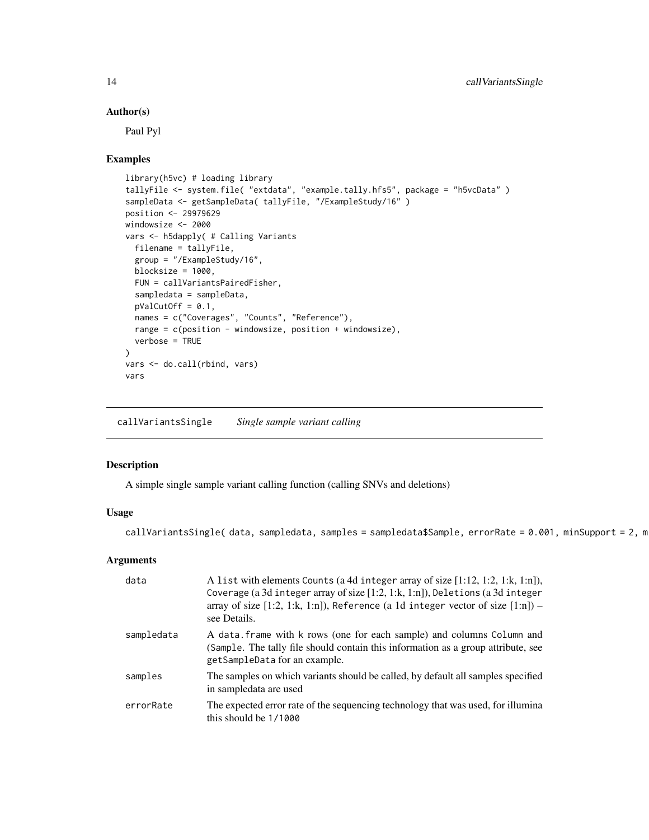#### Author(s)

Paul Pyl

#### Examples

```
library(h5vc) # loading library
tallyFile <- system.file( "extdata", "example.tally.hfs5", package = "h5vcData" )
sampleData <- getSampleData( tallyFile, "/ExampleStudy/16" )
position <- 29979629
windowsize <- 2000
vars <- h5dapply( # Calling Variants
 filename = tallyFile,
  group = "/ExampleStudy/16",
  blocksize = 1000,
 FUN = callVariantsPairedFisher,
  sampledata = sampleData,
  pValCutOff = 0.1,
  names = c("Coverages", "Counts", "Reference"),
  range = c(position - windowsize, position + windowsize),
  verbose = TRUE
)
vars <- do.call(rbind, vars)
vars
```
callVariantsSingle *Single sample variant calling*

#### Description

A simple single sample variant calling function (calling SNVs and deletions)

# Usage

callVariantsSingle( data, sampledata, samples = sampledata\$Sample, errorRate = 0.001, minSupport = 2, m

# Arguments

| data       | A list with elements Counts (a 4d integer array of size $[1:12, 1:2, 1:k, 1:n]$ ),<br>Coverage (a 3d integer array of size [1:2, 1:k, 1:n]), Deletions (a 3d integer<br>array of size $[1:2, 1:k, 1:n]$ ), Reference (a 1d integer vector of size $[1:n]$ ) –<br>see Details. |
|------------|-------------------------------------------------------------------------------------------------------------------------------------------------------------------------------------------------------------------------------------------------------------------------------|
| sampledata | A data frame with k rows (one for each sample) and columns Column and<br>(Sample. The tally file should contain this information as a group attribute, see<br>getSampleData for an example.                                                                                   |
| samples    | The samples on which variants should be called, by default all samples specified<br>in sampledata are used                                                                                                                                                                    |
| errorRate  | The expected error rate of the sequencing technology that was used, for illumina<br>this should be $1/1000$                                                                                                                                                                   |

<span id="page-13-0"></span>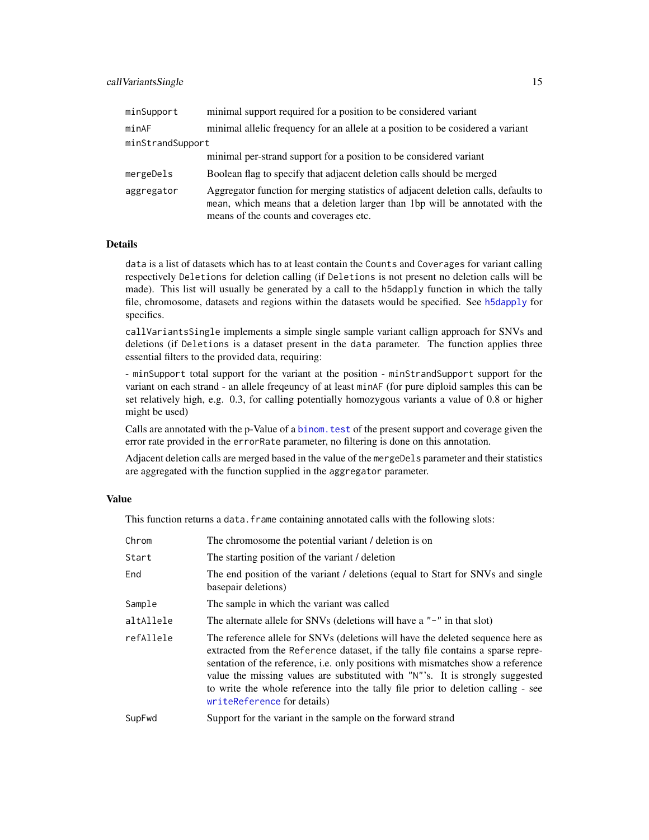<span id="page-14-0"></span>

| minSupport       | minimal support required for a position to be considered variant                                                                                                                                             |
|------------------|--------------------------------------------------------------------------------------------------------------------------------------------------------------------------------------------------------------|
| minAF            | minimal allelic frequency for an allele at a position to be cosidered a variant                                                                                                                              |
| minStrandSupport |                                                                                                                                                                                                              |
|                  | minimal per-strand support for a position to be considered variant                                                                                                                                           |
| mergeDels        | Boolean flag to specify that adjacent deletion calls should be merged                                                                                                                                        |
| aggregator       | Aggregator function for merging statistics of adjacent deletion calls, defaults to<br>mean, which means that a deletion larger than 1bp will be annotated with the<br>means of the counts and coverages etc. |

# Details

data is a list of datasets which has to at least contain the Counts and Coverages for variant calling respectively Deletions for deletion calling (if Deletions is not present no deletion calls will be made). This list will usually be generated by a call to the h5dapply function in which the tally file, chromosome, datasets and regions within the datasets would be specified. See [h5dapply](#page-20-1) for specifics.

callVariantsSingle implements a simple single sample variant callign approach for SNVs and deletions (if Deletions is a dataset present in the data parameter. The function applies three essential filters to the provided data, requiring:

- minSupport total support for the variant at the position - minStrandSupport support for the variant on each strand - an allele freqeuncy of at least minAF (for pure diploid samples this can be set relatively high, e.g. 0.3, for calling potentially homozygous variants a value of 0.8 or higher might be used)

Calls are annotated with the p-Value of a binom. test of the present support and coverage given the error rate provided in the errorRate parameter, no filtering is done on this annotation.

Adjacent deletion calls are merged based in the value of the mergeDels parameter and their statistics are aggregated with the function supplied in the aggregator parameter.

#### Value

This function returns a data. frame containing annotated calls with the following slots:

| Chrom     | The chromosome the potential variant / deletion is on                                                                                                                                                                                                                                                                                                                                                                                                       |
|-----------|-------------------------------------------------------------------------------------------------------------------------------------------------------------------------------------------------------------------------------------------------------------------------------------------------------------------------------------------------------------------------------------------------------------------------------------------------------------|
| Start     | The starting position of the variant / deletion                                                                                                                                                                                                                                                                                                                                                                                                             |
| End       | The end position of the variant / deletions (equal to Start for SNVs and single<br>basepair deletions)                                                                                                                                                                                                                                                                                                                                                      |
| Sample    | The sample in which the variant was called                                                                                                                                                                                                                                                                                                                                                                                                                  |
| altAllele | The alternate allele for SNVs (deletions will have a "-" in that slot)                                                                                                                                                                                                                                                                                                                                                                                      |
| refAllele | The reference allele for SNVs (deletions will have the deleted sequence here as<br>extracted from the Reference dataset, if the tally file contains a sparse repre-<br>sentation of the reference, i.e. only positions with mismatches show a reference<br>value the missing values are substituted with "N"'s. It is strongly suggested<br>to write the whole reference into the tally file prior to deletion calling - see<br>writeReference for details) |
| SupFwd    | Support for the variant in the sample on the forward strand                                                                                                                                                                                                                                                                                                                                                                                                 |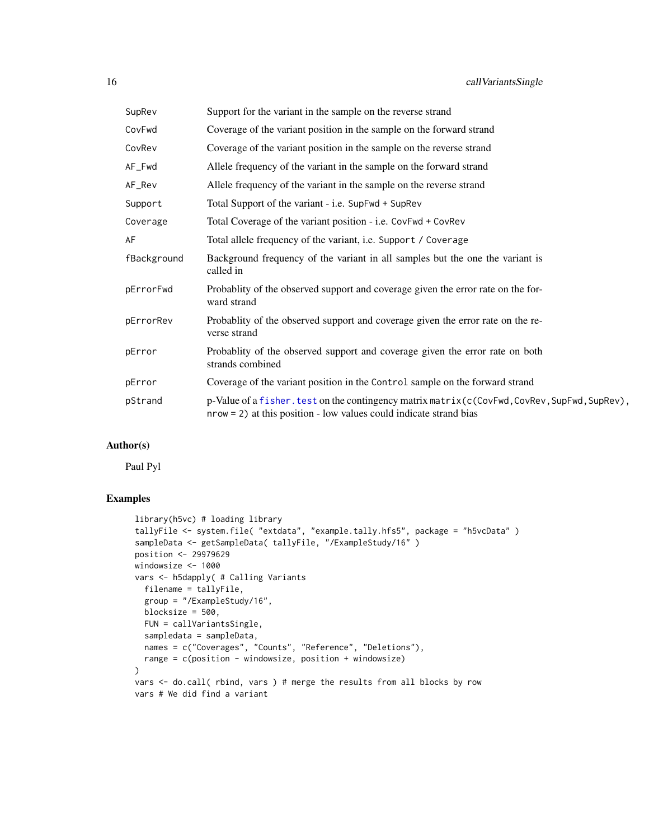<span id="page-15-0"></span>

| SupRev      | Support for the variant in the sample on the reverse strand                                                                                                             |
|-------------|-------------------------------------------------------------------------------------------------------------------------------------------------------------------------|
| CovFwd      | Coverage of the variant position in the sample on the forward strand                                                                                                    |
| CovRev      | Coverage of the variant position in the sample on the reverse strand                                                                                                    |
| AF_Fwd      | Allele frequency of the variant in the sample on the forward strand                                                                                                     |
| AF_Rev      | Allele frequency of the variant in the sample on the reverse strand                                                                                                     |
| Support     | Total Support of the variant - i.e. SupFwd + SupRev                                                                                                                     |
| Coverage    | Total Coverage of the variant position - i.e. CovFwd + CovRev                                                                                                           |
| AF          | Total allele frequency of the variant, i.e. Support / Coverage                                                                                                          |
| fBackground | Background frequency of the variant in all samples but the one the variant is<br>called in                                                                              |
| pErrorFwd   | Probablity of the observed support and coverage given the error rate on the for-<br>ward strand                                                                         |
| pErrorRev   | Probability of the observed support and coverage given the error rate on the re-<br>verse strand                                                                        |
| pError      | Probability of the observed support and coverage given the error rate on both<br>strands combined                                                                       |
| pError      | Coverage of the variant position in the Control sample on the forward strand                                                                                            |
| pStrand     | p-Value of a fisher. test on the contingency matrix matrix (c(CovFwd, CovRev, SupFwd, SupRev),<br>$nrow = 2$ ) at this position - low values could indicate strand bias |

# Author(s)

Paul Pyl

```
library(h5vc) # loading library
tallyFile <- system.file( "extdata", "example.tally.hfs5", package = "h5vcData" )
sampleData <- getSampleData( tallyFile, "/ExampleStudy/16" )
position <- 29979629
windowsize <- 1000
vars <- h5dapply( # Calling Variants
 filename = tallyFile,
 group = "/ExampleStudy/16",
 blocksize = 500,
 FUN = callVariantsSingle,
 sampledata = sampleData,
 names = c("Coverages", "Counts", "Reference", "Deletions"),
 range = c(position - windowsize, position + windowsize)
\mathcal{L}vars <- do.call( rbind, vars ) # merge the results from all blocks by row
vars # We did find a variant
```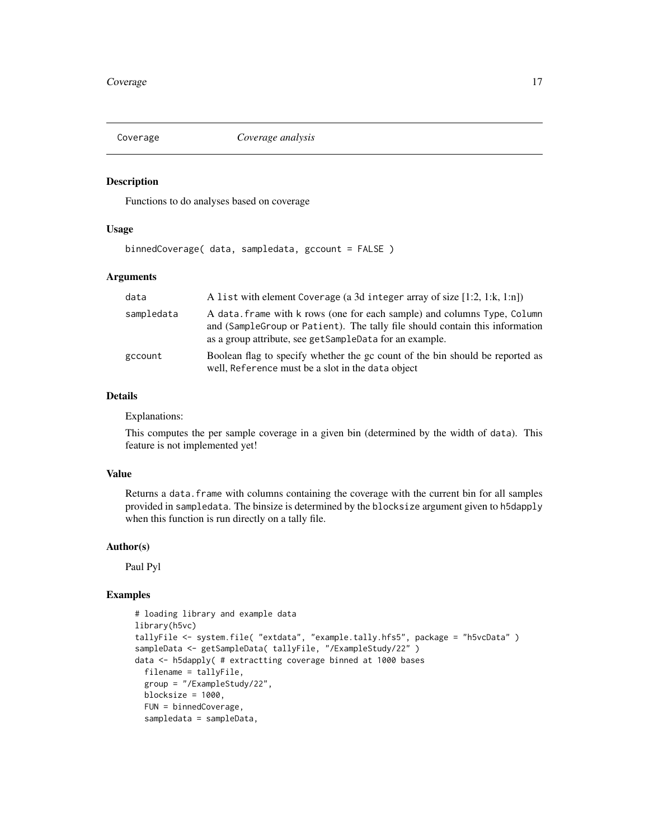<span id="page-16-0"></span>

Functions to do analyses based on coverage

#### Usage

binnedCoverage( data, sampledata, gccount = FALSE )

# Arguments

| data       | A list with element Coverage (a 3d integer array of size [1:2, 1:k, 1:n])                                                                                                                                            |
|------------|----------------------------------------------------------------------------------------------------------------------------------------------------------------------------------------------------------------------|
| sampledata | A data. frame with k rows (one for each sample) and columns Type, Column<br>and (Sample Group or Patient). The tally file should contain this information<br>as a group attribute, see getSampleData for an example. |
| gccount    | Boolean flag to specify whether the gc count of the bin should be reported as<br>well, Reference must be a slot in the data object                                                                                   |

# Details

Explanations:

This computes the per sample coverage in a given bin (determined by the width of data). This feature is not implemented yet!

# Value

Returns a data. frame with columns containing the coverage with the current bin for all samples provided in sampledata. The binsize is determined by the blocksize argument given to h5dapply when this function is run directly on a tally file.

#### Author(s)

Paul Pyl

```
# loading library and example data
library(h5vc)
tallyFile <- system.file( "extdata", "example.tally.hfs5", package = "h5vcData" )
sampleData <- getSampleData( tallyFile, "/ExampleStudy/22" )
data <- h5dapply( # extractting coverage binned at 1000 bases
  filename = tallyFile,
  group = "/ExampleStudy/22",
  blocksize = 1000,
 FUN = binnedCoverage,
  sampledata = sampleData,
```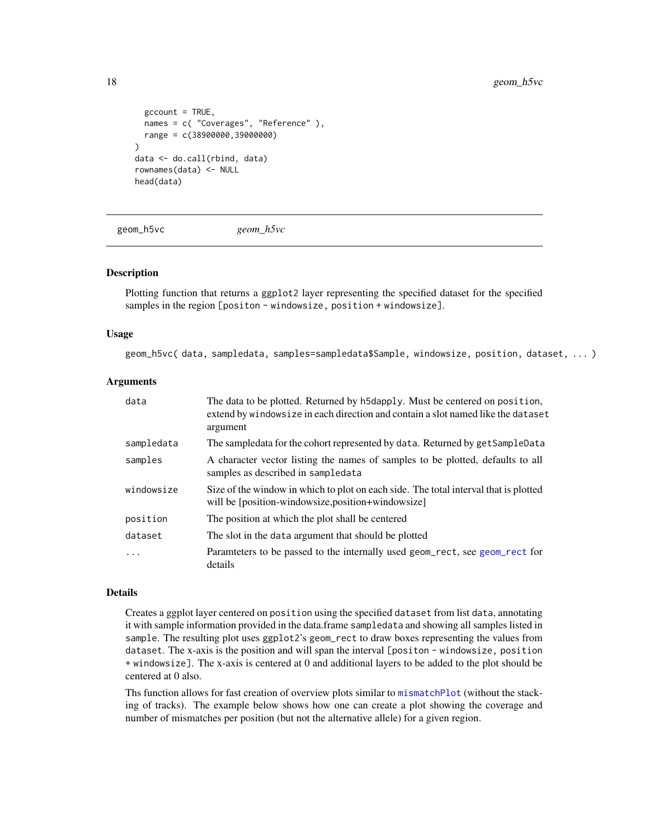```
gccount = TRUE,
  names = c( "Coverages", "Reference" ),
 range = c(38900000,39000000)
)
data <- do.call(rbind, data)
rownames(data) <- NULL
head(data)
```
geom\_h5vc *geom\_h5vc*

#### Description

Plotting function that returns a ggplot2 layer representing the specified dataset for the specified samples in the region [positon - windowsize, position + windowsize].

#### Usage

geom\_h5vc( data, sampledata, samples=sampledata\$Sample, windowsize, position, dataset, ... )

#### Arguments

| data       | The data to be plotted. Returned by h5dapply. Must be centered on position,<br>extend by windowsize in each direction and contain a slot named like the dataset<br>argument |
|------------|-----------------------------------------------------------------------------------------------------------------------------------------------------------------------------|
| sampledata | The sampledata for the cohort represented by data. Returned by get SampleData                                                                                               |
| samples    | A character vector listing the names of samples to be plotted, defaults to all<br>samples as described in sampledata                                                        |
| windowsize | Size of the window in which to plot on each side. The total interval that is plotted<br>will be [position-windowsize, position+windowsize]                                  |
| position   | The position at which the plot shall be centered                                                                                                                            |
| dataset    | The slot in the data argument that should be plotted                                                                                                                        |
| .          | Paramteters to be passed to the internally used geom_rect, see geom_rect for<br>details                                                                                     |

#### Details

Creates a ggplot layer centered on position using the specified dataset from list data, annotating it with sample information provided in the data.frame sampledata and showing all samples listed in sample. The resulting plot uses ggplot2's geom\_rect to draw boxes representing the values from dataset. The x-axis is the position and will span the interval [positon - windowsize, position + windowsize]. The x-axis is centered at 0 and additional layers to be added to the plot should be centered at 0 also.

Ths function allows for fast creation of overview plots similar to [mismatchPlot](#page-28-1) (without the stacking of tracks). The example below shows how one can create a plot showing the coverage and number of mismatches per position (but not the alternative allele) for a given region.

<span id="page-17-0"></span>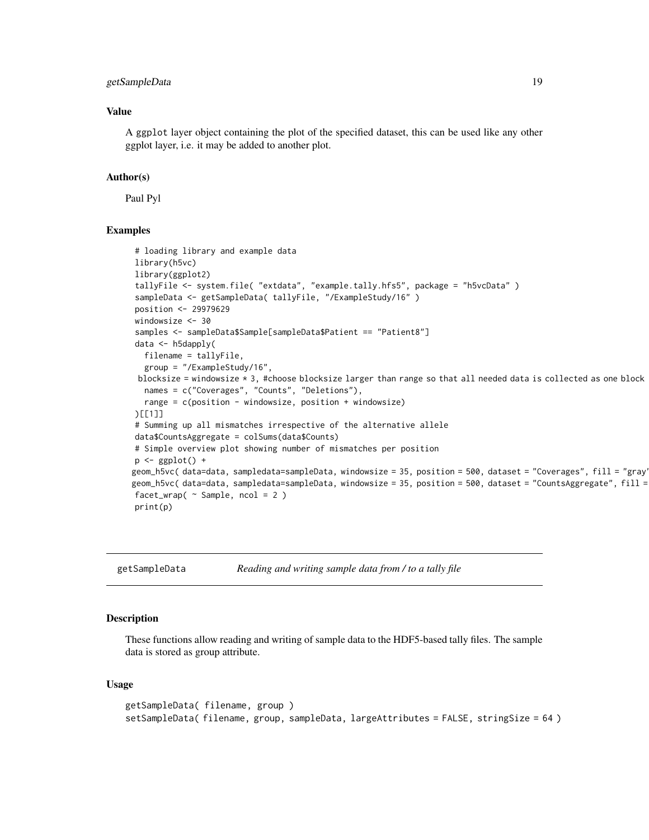# <span id="page-18-0"></span>getSampleData 19

# Value

A ggplot layer object containing the plot of the specified dataset, this can be used like any other ggplot layer, i.e. it may be added to another plot.

#### Author(s)

Paul Pyl

### Examples

```
# loading library and example data
library(h5vc)
library(ggplot2)
tallyFile <- system.file( "extdata", "example.tally.hfs5", package = "h5vcData" )
sampleData <- getSampleData( tallyFile, "/ExampleStudy/16" )
position <- 29979629
windowsize <- 30
samples <- sampleData$Sample[sampleData$Patient == "Patient8"]
data <- h5dapply(
  filename = tallyFile,
  group = "/ExampleStudy/16",
 blocksize = windowsize * 3, #choose blocksize larger than range so that all needed data is collected as one block
  names = c("Coverages", "Counts", "Deletions"),
  range = c(position - windowsize, position + windowsize)
)[[1]]
# Summing up all mismatches irrespective of the alternative allele
data$CountsAggregate = colSums(data$Counts)
# Simple overview plot showing number of mismatches per position
p \leftarrow ggplot() +
geom_h5vc( data=data, sampledata=sampleData, windowsize = 35, position = 500, dataset = "Coverages", fill = "gray" ) +
geom_h5vc(data=data, sampledata=sampleData, windowsize = 35, position = 500, dataset = "CountsAggregate", fill =
facet_wrap( ~ ~ Sample, ~ ncol = 2 )print(p)
```
<span id="page-18-2"></span>getSampleData *Reading and writing sample data from / to a tally file*

#### <span id="page-18-1"></span>Description

These functions allow reading and writing of sample data to the HDF5-based tally files. The sample data is stored as group attribute.

#### Usage

```
getSampleData( filename, group )
setSampleData( filename, group, sampleData, largeAttributes = FALSE, stringSize = 64 )
```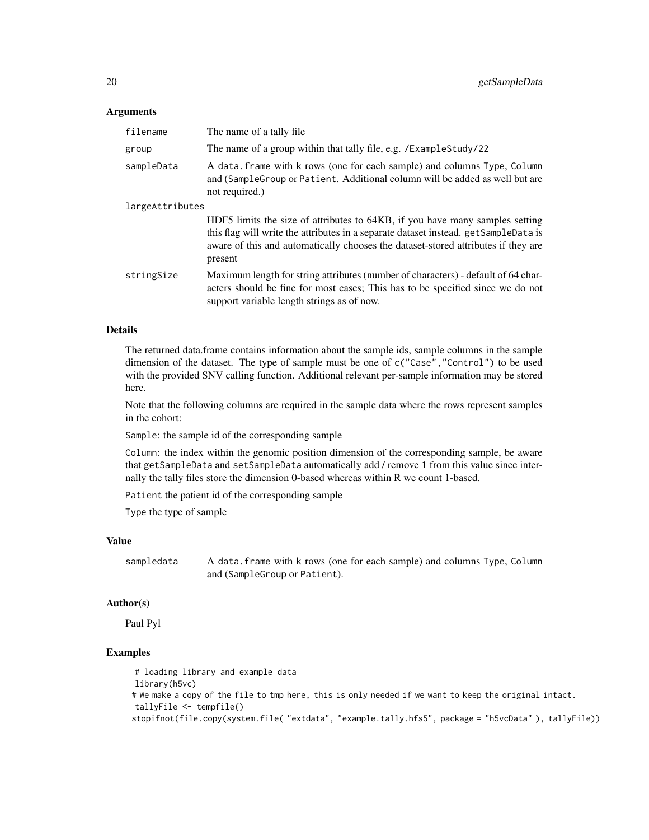#### **Arguments**

| filename        | The name of a tally file.                                                                                                                                                                                                                                           |
|-----------------|---------------------------------------------------------------------------------------------------------------------------------------------------------------------------------------------------------------------------------------------------------------------|
| group           | The name of a group within that tally file, e.g. /ExampleStudy/22                                                                                                                                                                                                   |
| sampleData      | A data. frame with k rows (one for each sample) and columns Type, Column<br>and (Sample Group or Patient. Additional column will be added as well but are<br>not required.)                                                                                         |
| largeAttributes |                                                                                                                                                                                                                                                                     |
|                 | HDF5 limits the size of attributes to 64KB, if you have many samples setting<br>this flag will write the attributes in a separate dataset instead. getSampleData is<br>aware of this and automatically chooses the dataset-stored attributes if they are<br>present |
| stringSize      | Maximum length for string attributes (number of characters) - default of 64 char-<br>acters should be fine for most cases; This has to be specified since we do not<br>support variable length strings as of now.                                                   |

#### Details

The returned data.frame contains information about the sample ids, sample columns in the sample dimension of the dataset. The type of sample must be one of  $c("Case", "Control")$  to be used with the provided SNV calling function. Additional relevant per-sample information may be stored here.

Note that the following columns are required in the sample data where the rows represent samples in the cohort:

Sample: the sample id of the corresponding sample

Column: the index within the genomic position dimension of the corresponding sample, be aware that getSampleData and setSampleData automatically add / remove 1 from this value since internally the tally files store the dimension 0-based whereas within R we count 1-based.

Patient the patient id of the corresponding sample

Type the type of sample

# Value

sampledata A data.frame with k rows (one for each sample) and columns Type, Column and (SampleGroup or Patient).

#### Author(s)

Paul Pyl

```
# loading library and example data
library(h5vc)
# We make a copy of the file to tmp here, this is only needed if we want to keep the original intact.
tallyFile <- tempfile()
stopifnot(file.copy(system.file( "extdata", "example.tally.hfs5", package = "h5vcData" ), tallyFile))
```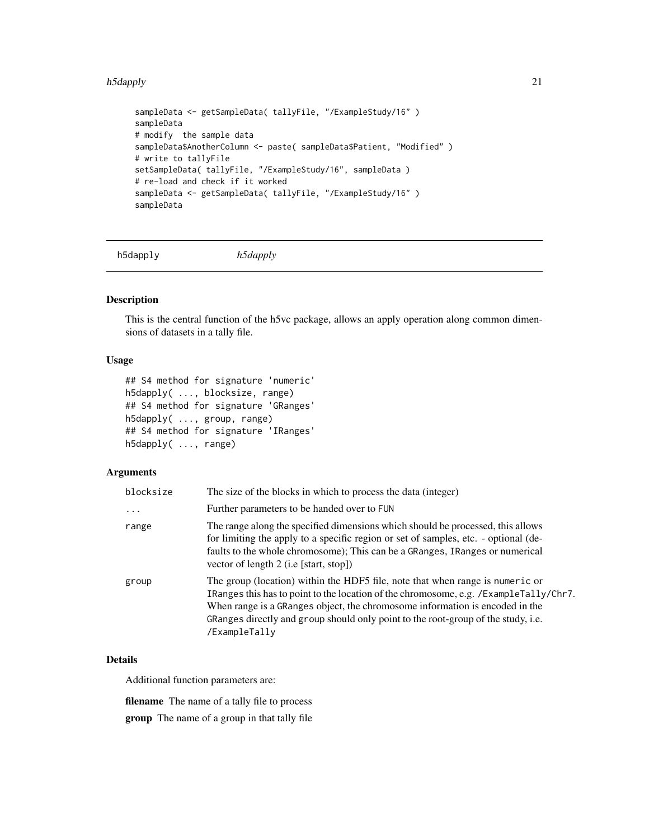#### <span id="page-20-0"></span>h5dapply 21

```
sampleData <- getSampleData( tallyFile, "/ExampleStudy/16" )
sampleData
# modify the sample data
sampleData$AnotherColumn <- paste( sampleData$Patient, "Modified" )
# write to tallyFile
setSampleData( tallyFile, "/ExampleStudy/16", sampleData )
# re-load and check if it worked
sampleData <- getSampleData( tallyFile, "/ExampleStudy/16" )
sampleData
```
<span id="page-20-1"></span>h5dapply *h5dapply*

# Description

This is the central function of the h5vc package, allows an apply operation along common dimensions of datasets in a tally file.

#### Usage

```
## S4 method for signature 'numeric'
h5dapply( ..., blocksize, range)
## S4 method for signature 'GRanges'
h5dapply( ..., group, range)
## S4 method for signature 'IRanges'
h5dapply( ..., range)
```
# Arguments

| blocksize | The size of the blocks in which to process the data (integer)                                                                                                                                                                                                                                                                                                |
|-----------|--------------------------------------------------------------------------------------------------------------------------------------------------------------------------------------------------------------------------------------------------------------------------------------------------------------------------------------------------------------|
| $\ddots$  | Further parameters to be handed over to FUN                                                                                                                                                                                                                                                                                                                  |
| range     | The range along the specified dimensions which should be processed, this allows<br>for limiting the apply to a specific region or set of samples, etc. - optional (de-<br>faults to the whole chromosome); This can be a GRanges, IRanges or numerical<br>vector of length 2 (i.e [start, stop])                                                             |
| group     | The group (location) within the HDF5 file, note that when range is numeric or<br>IRanges this has to point to the location of the chromosome, e.g. /ExampleTally/Chr7.<br>When range is a GRanges object, the chromosome information is encoded in the<br>GRanges directly and group should only point to the root-group of the study, i.e.<br>/ExampleTally |

# Details

Additional function parameters are:

filename The name of a tally file to process group The name of a group in that tally file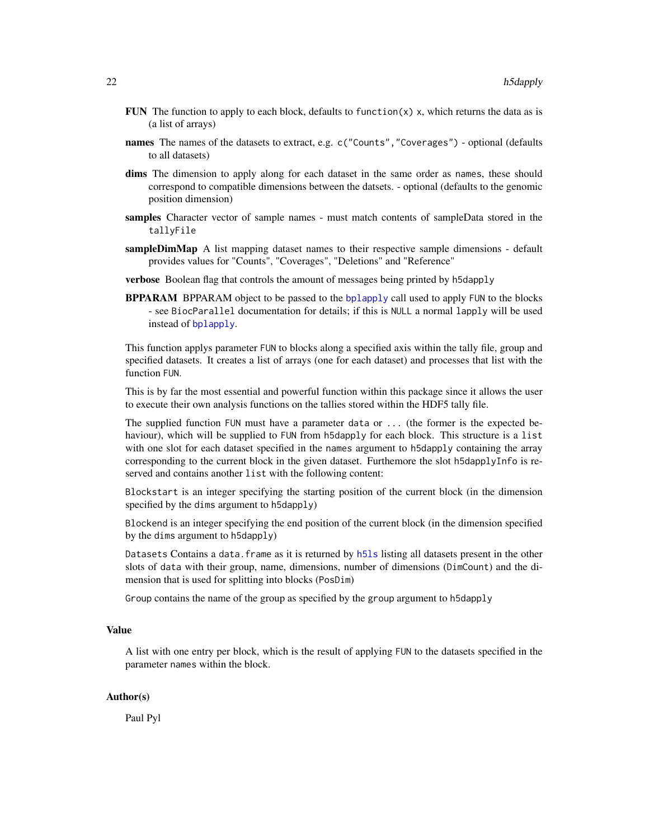- <span id="page-21-0"></span>FUN The function to apply to each block, defaults to function $(x)$  x, which returns the data as is (a list of arrays)
- names The names of the datasets to extract, e.g. c("Counts", "Coverages") optional (defaults to all datasets)
- dims The dimension to apply along for each dataset in the same order as names, these should correspond to compatible dimensions between the datsets. - optional (defaults to the genomic position dimension)
- samples Character vector of sample names must match contents of sampleData stored in the tallyFile
- **sampleDimMap** A list mapping dataset names to their respective sample dimensions default provides values for "Counts", "Coverages", "Deletions" and "Reference"
- verbose Boolean flag that controls the amount of messages being printed by h5dapply
- **BPPARAM** BPPARAM object to be passed to the [bplapply](#page-0-0) call used to apply FUN to the blocks - see BiocParallel documentation for details; if this is NULL a normal lapply will be used instead of [bplapply](#page-0-0).

This function applys parameter FUN to blocks along a specified axis within the tally file, group and specified datasets. It creates a list of arrays (one for each dataset) and processes that list with the function FUN.

This is by far the most essential and powerful function within this package since it allows the user to execute their own analysis functions on the tallies stored within the HDF5 tally file.

The supplied function FUN must have a parameter data or ... (the former is the expected behaviour), which will be supplied to FUN from h5dapply for each block. This structure is a list with one slot for each dataset specified in the names argument to h5dapply containing the array corresponding to the current block in the given dataset. Furthemore the slot h5dapplyInfo is reserved and contains another list with the following content:

Blockstart is an integer specifying the starting position of the current block (in the dimension specified by the dims argument to h5dapply)

Blockend is an integer specifying the end position of the current block (in the dimension specified by the dims argument to h5dapply)

Datasets Contains a data. frame as it is returned by [h5ls](#page-0-0) listing all datasets present in the other slots of data with their group, name, dimensions, number of dimensions (DimCount) and the dimension that is used for splitting into blocks (PosDim)

Group contains the name of the group as specified by the group argument to h5dapply

# Value

A list with one entry per block, which is the result of applying FUN to the datasets specified in the parameter names within the block.

#### Author(s)

Paul Pyl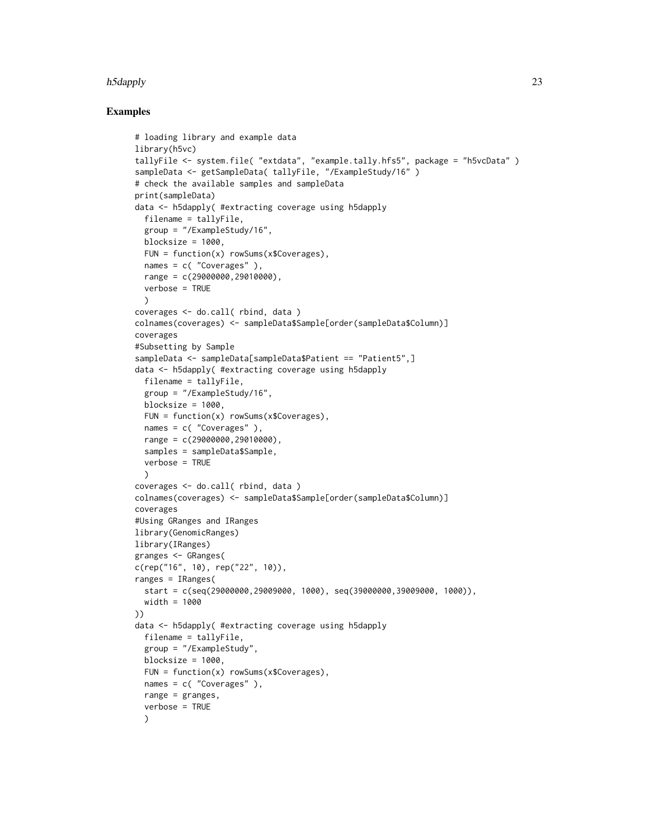#### h5dapply 23

```
# loading library and example data
library(h5vc)
tallyFile <- system.file( "extdata", "example.tally.hfs5", package = "h5vcData" )
sampleData <- getSampleData( tallyFile, "/ExampleStudy/16" )
# check the available samples and sampleData
print(sampleData)
data <- h5dapply( #extracting coverage using h5dapply
  filename = tallyFile,
  group = "/ExampleStudy/16",
 blocksize = 1000,
 FUN = function(x) rowSums(x$Coverages),
  names = c( "Coverages" ),
  range = c(29000000, 29010000),
  verbose = TRUE
 \lambdacoverages <- do.call( rbind, data )
colnames(coverages) <- sampleData$Sample[order(sampleData$Column)]
coverages
#Subsetting by Sample
sampleData <- sampleData[sampleData$Patient == "Patient5",]
data <- h5dapply( #extracting coverage using h5dapply
 filename = tallyFile,
 group = "/ExampleStudy/16",
 blocksize = 1000,
 FUN = function(x) rowsums(x%Coverages),
 names = c( "Coverages" ),
  range = c(29000000, 29010000)samples = sampleData$Sample,
 verbose = TRUE
  \lambdacoverages <- do.call( rbind, data )
colnames(coverages) <- sampleData$Sample[order(sampleData$Column)]
coverages
#Using GRanges and IRanges
library(GenomicRanges)
library(IRanges)
granges <- GRanges(
c(rep("16", 10), rep("22", 10)),
ranges = IRanges(
  start = c(seq(29000000, 29009000, 1000), seq(39000000, 39009000, 1000)),width = 1000
))
data <- h5dapply( #extracting coverage using h5dapply
 filename = tallyFile,
  group = "/ExampleStudy",
 blocksize = 1000,
  FUN = function(x) rowSums(x$Coverages),
  names = c( "Coverages" ),
  range = granges,
  verbose = TRUE
  )
```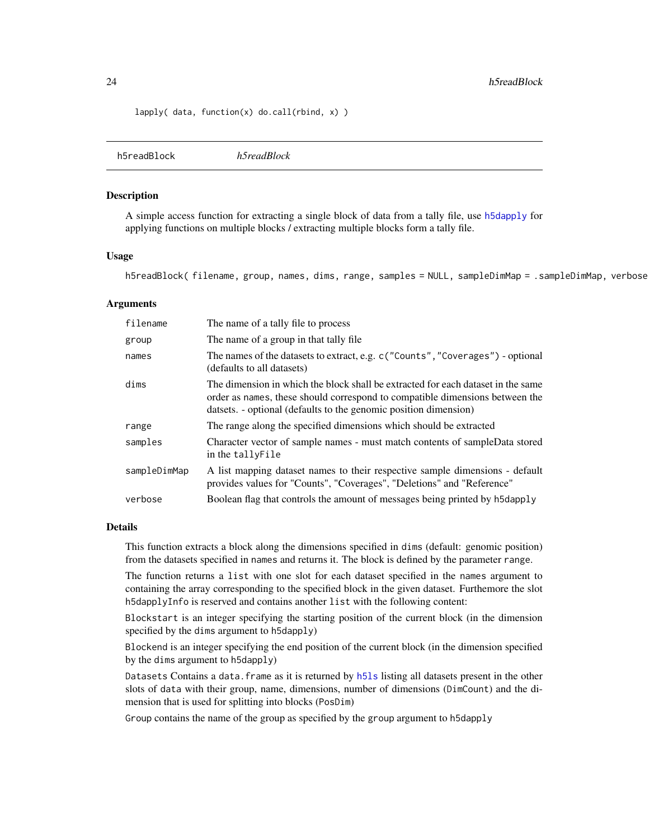#### <span id="page-23-0"></span>24 h5readBlock h5readBlock

lapply( data, function(x) do.call(rbind, x) )

<span id="page-23-1"></span>h5readBlock *h5readBlock*

#### Description

A simple access function for extracting a single block of data from a tally file, use [h5dapply](#page-20-1) for applying functions on multiple blocks / extracting multiple blocks form a tally file.

# Usage

h5readBlock( filename, group, names, dims, range, samples = NULL, sampleDimMap = .sampleDimMap, verbose

# Arguments

| filename     | The name of a tally file to process                                                                                                                                                                                                  |
|--------------|--------------------------------------------------------------------------------------------------------------------------------------------------------------------------------------------------------------------------------------|
| group        | The name of a group in that tally file.                                                                                                                                                                                              |
| names        | The names of the datasets to extract, e.g. c ("Counts", "Coverages") - optional<br>(defaults to all datasets)                                                                                                                        |
| dims         | The dimension in which the block shall be extracted for each dataset in the same<br>order as names, these should correspond to compatible dimensions between the<br>datsets. - optional (defaults to the genomic position dimension) |
| range        | The range along the specified dimensions which should be extracted                                                                                                                                                                   |
| samples      | Character vector of sample names - must match contents of sampleData stored<br>in the tallyFile                                                                                                                                      |
| sampleDimMap | A list mapping dataset names to their respective sample dimensions - default<br>provides values for "Counts", "Coverages", "Deletions" and "Reference"                                                                               |
| verbose      | Boolean flag that controls the amount of messages being printed by h5dapply                                                                                                                                                          |

#### Details

This function extracts a block along the dimensions specified in dims (default: genomic position) from the datasets specified in names and returns it. The block is defined by the parameter range.

The function returns a list with one slot for each dataset specified in the names argument to containing the array corresponding to the specified block in the given dataset. Furthemore the slot h5dapplyInfo is reserved and contains another list with the following content:

Blockstart is an integer specifying the starting position of the current block (in the dimension specified by the dims argument to h5dapply)

Blockend is an integer specifying the end position of the current block (in the dimension specified by the dims argument to h5dapply)

Datasets Contains a data.frame as it is returned by h51s listing all datasets present in the other slots of data with their group, name, dimensions, number of dimensions (DimCount) and the dimension that is used for splitting into blocks (PosDim)

Group contains the name of the group as specified by the group argument to h5dapply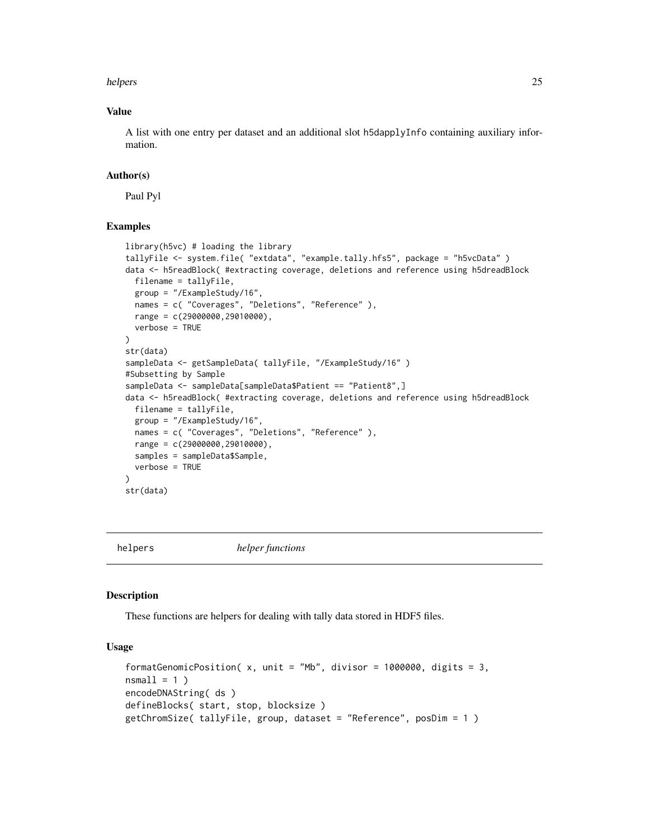<span id="page-24-0"></span>helpers 25

# Value

A list with one entry per dataset and an additional slot h5dapplyInfo containing auxiliary information.

#### Author(s)

Paul Pyl

# Examples

```
library(h5vc) # loading the library
tallyFile <- system.file( "extdata", "example.tally.hfs5", package = "h5vcData" )
data <- h5readBlock( #extracting coverage, deletions and reference using h5dreadBlock
 filename = tallyFile,
  group = "/ExampleStudy/16",
  names = c( "Coverages", "Deletions", "Reference" ),
  range = c(29000000,29010000),
  verbose = TRUE
)
str(data)
sampleData <- getSampleData( tallyFile, "/ExampleStudy/16" )
#Subsetting by Sample
sampleData <- sampleData[sampleData$Patient == "Patient8",]
data <- h5readBlock( #extracting coverage, deletions and reference using h5dreadBlock
  filename = tallyFile,
  group = "/ExampleStudy/16",
  names = c( "Coverages", "Deletions", "Reference" ),
  range = c(29000000,29010000),
  samples = sampleData$Sample,
  verbose = TRUE
\mathcal{L}str(data)
```
helpers *helper functions*

#### <span id="page-24-1"></span>Description

These functions are helpers for dealing with tally data stored in HDF5 files.

#### Usage

```
formatGenomicPosition(x, unit = "Mb", divisor = 1000000, digits = 3,
nsmall = 1)
encodeDNAString( ds )
defineBlocks( start, stop, blocksize )
getChromSize( tallyFile, group, dataset = "Reference", posDim = 1 )
```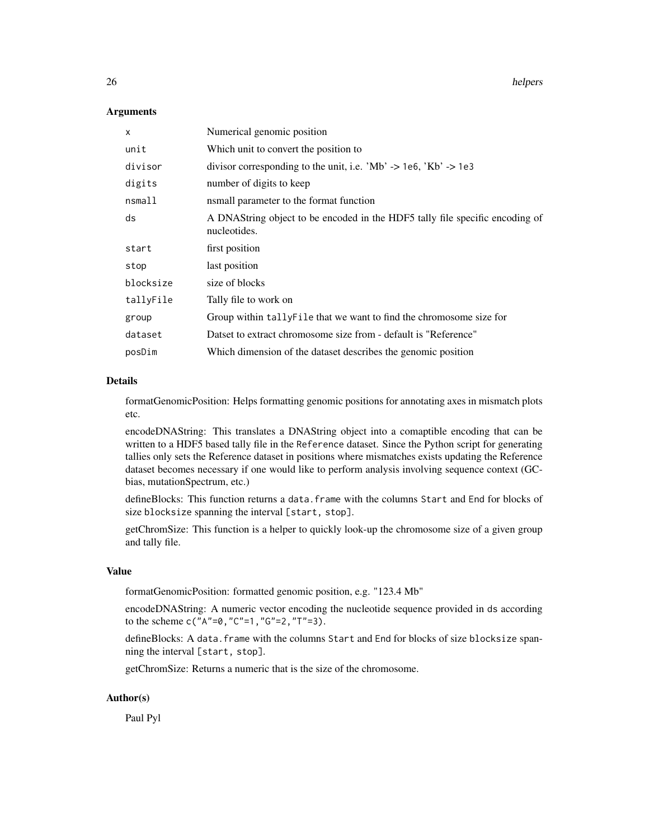26 helpers and the contract of the contract of the contract of the contract of the contract of the contract of the contract of the contract of the contract of the contract of the contract of the contract of the contract of

#### Arguments

| $\mathsf{x}$ | Numerical genomic position                                                                   |
|--------------|----------------------------------------------------------------------------------------------|
| unit         | Which unit to convert the position to                                                        |
| divisor      | divisor corresponding to the unit, i.e. 'Mb' -> 1e6, 'Kb' -> 1e3                             |
| digits       | number of digits to keep                                                                     |
| nsmall       | nsmall parameter to the format function                                                      |
| ds           | A DNAString object to be encoded in the HDF5 tally file specific encoding of<br>nucleotides. |
| start        | first position                                                                               |
| stop         | last position                                                                                |
| blocksize    | size of blocks                                                                               |
| tallyFile    | Tally file to work on                                                                        |
| group        | Group within tally File that we want to find the chromosome size for                         |
| dataset      | Datset to extract chromosome size from - default is "Reference"                              |
| posDim       | Which dimension of the dataset describes the genomic position                                |

#### Details

formatGenomicPosition: Helps formatting genomic positions for annotating axes in mismatch plots etc.

encodeDNAString: This translates a DNAString object into a comaptible encoding that can be written to a HDF5 based tally file in the Reference dataset. Since the Python script for generating tallies only sets the Reference dataset in positions where mismatches exists updating the Reference dataset becomes necessary if one would like to perform analysis involving sequence context (GCbias, mutationSpectrum, etc.)

defineBlocks: This function returns a data.frame with the columns Start and End for blocks of size blocksize spanning the interval [start, stop].

getChromSize: This function is a helper to quickly look-up the chromosome size of a given group and tally file.

#### Value

formatGenomicPosition: formatted genomic position, e.g. "123.4 Mb"

encodeDNAString: A numeric vector encoding the nucleotide sequence provided in ds according to the scheme c("A"=0,"C"=1,"G"=2,"T"=3).

defineBlocks: A data.frame with the columns Start and End for blocks of size blocksize spanning the interval [start, stop].

getChromSize: Returns a numeric that is the size of the chromosome.

# Author(s)

Paul Pyl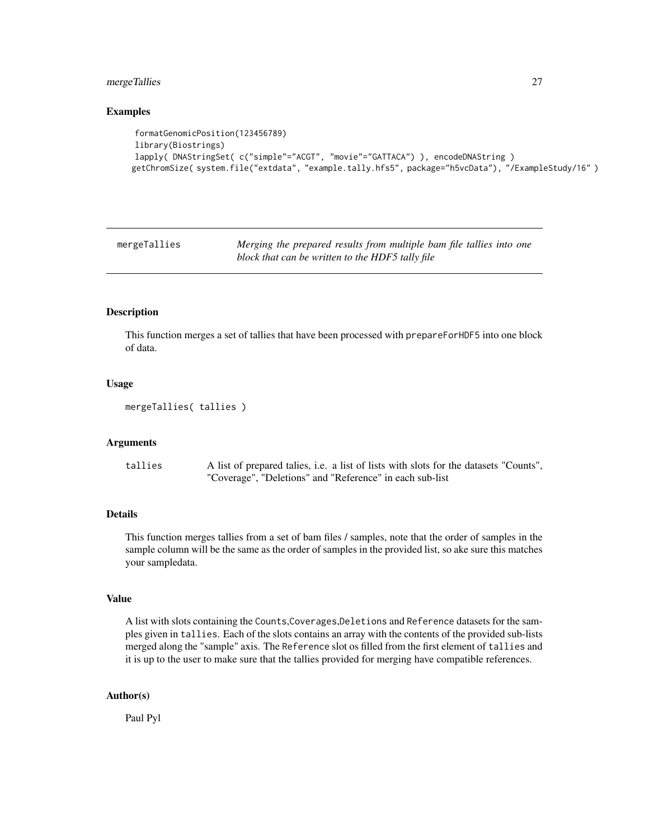#### <span id="page-26-0"></span>mergeTallies 27

#### Examples

```
formatGenomicPosition(123456789)
library(Biostrings)
lapply( DNAStringSet( c("simple"="ACGT", "movie"="GATTACA") ), encodeDNAString )
getChromSize( system.file("extdata", "example.tally.hfs5", package="h5vcData"), "/ExampleStudy/16" )
```
mergeTallies *Merging the prepared results from multiple bam file tallies into one block that can be written to the HDF5 tally file*

#### Description

This function merges a set of tallies that have been processed with prepareForHDF5 into one block of data.

# Usage

```
mergeTallies( tallies )
```
#### Arguments

tallies A list of prepared talies, i.e. a list of lists with slots for the datasets "Counts", "Coverage", "Deletions" and "Reference" in each sub-list

# Details

This function merges tallies from a set of bam files / samples, note that the order of samples in the sample column will be the same as the order of samples in the provided list, so ake sure this matches your sampledata.

#### Value

A list with slots containing the Counts,Coverages,Deletions and Reference datasets for the samples given in tallies. Each of the slots contains an array with the contents of the provided sub-lists merged along the "sample" axis. The Reference slot os filled from the first element of tallies and it is up to the user to make sure that the tallies provided for merging have compatible references.

### Author(s)

Paul Pyl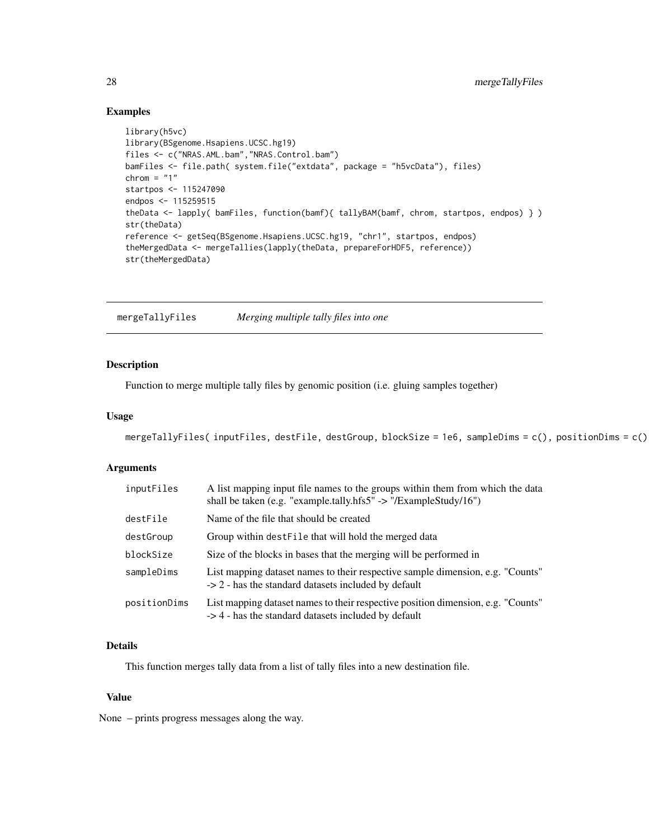# Examples

```
library(h5vc)
library(BSgenome.Hsapiens.UCSC.hg19)
files <- c("NRAS.AML.bam","NRAS.Control.bam")
bamFiles <- file.path( system.file("extdata", package = "h5vcData"), files)
chrom = "1"startpos <- 115247090
endpos <- 115259515
theData <- lapply( bamFiles, function(bamf){ tallyBAM(bamf, chrom, startpos, endpos) } )
str(theData)
reference <- getSeq(BSgenome.Hsapiens.UCSC.hg19, "chr1", startpos, endpos)
theMergedData <- mergeTallies(lapply(theData, prepareForHDF5, reference))
str(theMergedData)
```
mergeTallyFiles *Merging multiple tally files into one*

# Description

Function to merge multiple tally files by genomic position (i.e. gluing samples together)

#### Usage

```
mergeTallyFiles( inputFiles, destFile, destGroup, blockSize = 1e6, sampleDims = c(), positionDims = c() )
```
#### Arguments

| inputFiles   | A list mapping input file names to the groups within them from which the data<br>shall be taken (e.g. "example.tally.hfs5" -> "/ExampleStudy/16") |
|--------------|---------------------------------------------------------------------------------------------------------------------------------------------------|
| destFile     | Name of the file that should be created                                                                                                           |
| destGroup    | Group within dest File that will hold the merged data                                                                                             |
| blockSize    | Size of the blocks in bases that the merging will be performed in                                                                                 |
| sampleDims   | List mapping dataset names to their respective sample dimension, e.g. "Counts"<br>$\rightarrow$ 2 - has the standard datasets included by default |
| positionDims | List mapping dataset names to their respective position dimension, e.g. "Counts"<br>-> 4 - has the standard datasets included by default          |

# Details

This function merges tally data from a list of tally files into a new destination file.

#### Value

None – prints progress messages along the way.

<span id="page-27-0"></span>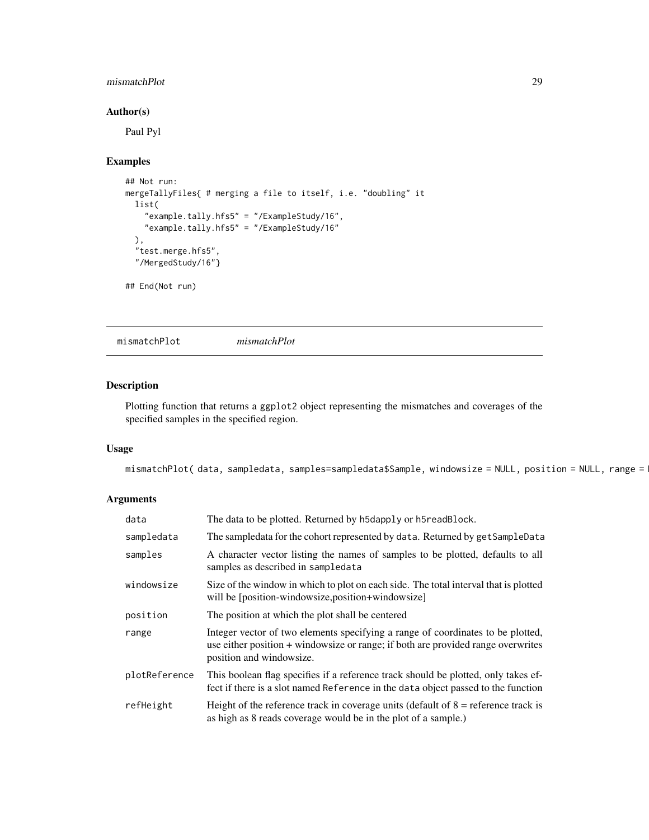# <span id="page-28-0"></span>mismatchPlot 29

# Author(s)

Paul Pyl

#### Examples

```
## Not run:
mergeTallyFiles{ # merging a file to itself, i.e. "doubling" it
  list(
    "example.tally.hfs5" = "/ExampleStudy/16",
    "example.tally.hfs5" = "/ExampleStudy/16"
  ),
  "test.merge.hfs5",
  "/MergedStudy/16"}
## End(Not run)
```
<span id="page-28-1"></span>mismatchPlot *mismatchPlot*

# Description

Plotting function that returns a ggplot2 object representing the mismatches and coverages of the specified samples in the specified region.

# Usage

```
mismatchPlot( data, sampledata, samples=sampledata$Sample, windowsize = NULL, position = NULL, range =
```
# Arguments

| data          | The data to be plotted. Returned by h5dapply or h5readBlock.                                                                                                                                    |
|---------------|-------------------------------------------------------------------------------------------------------------------------------------------------------------------------------------------------|
| sampledata    | The sampledata for the cohort represented by data. Returned by getSampleData                                                                                                                    |
| samples       | A character vector listing the names of samples to be plotted, defaults to all<br>samples as described in sampledata                                                                            |
| windowsize    | Size of the window in which to plot on each side. The total interval that is plotted<br>will be [position-windowsize, position+windowsize]                                                      |
| position      | The position at which the plot shall be centered                                                                                                                                                |
| range         | Integer vector of two elements specifying a range of coordinates to be plotted,<br>use either position + windowsize or range; if both are provided range overwrites<br>position and windowsize. |
| plotReference | This boolean flag specifies if a reference track should be plotted, only takes ef-<br>fect if there is a slot named Reference in the data object passed to the function                         |
| refHeight     | Height of the reference track in coverage units (default of $8$ = reference track is<br>as high as 8 reads coverage would be in the plot of a sample.)                                          |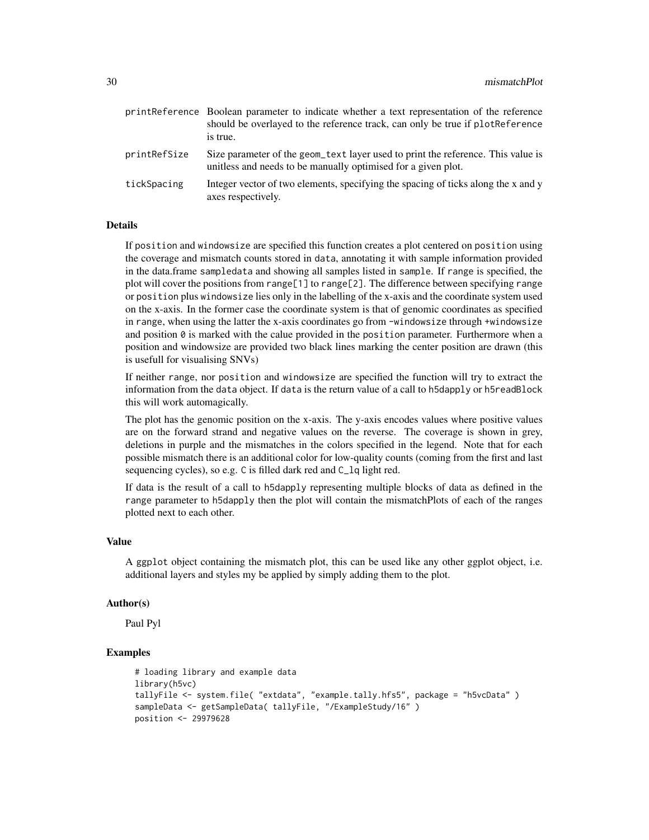|              | print Reference Boolean parameter to indicate whether a text representation of the reference<br>should be overlayed to the reference track, can only be true if plot Reference<br>is true. |
|--------------|--------------------------------------------------------------------------------------------------------------------------------------------------------------------------------------------|
| printRefSize | Size parameter of the geom text layer used to print the reference. This value is<br>unitless and needs to be manually optimised for a given plot.                                          |
| tickSpacing  | Integer vector of two elements, specifying the spacing of ticks along the x and y<br>axes respectively.                                                                                    |

#### Details

If position and windowsize are specified this function creates a plot centered on position using the coverage and mismatch counts stored in data, annotating it with sample information provided in the data.frame sampledata and showing all samples listed in sample. If range is specified, the plot will cover the positions from range[1] to range[2]. The difference between specifying range or position plus windowsize lies only in the labelling of the x-axis and the coordinate system used on the x-axis. In the former case the coordinate system is that of genomic coordinates as specified in range, when using the latter the x-axis coordinates go from -windowsize through +windowsize and position  $\theta$  is marked with the calue provided in the position parameter. Furthermore when a position and windowsize are provided two black lines marking the center position are drawn (this is usefull for visualising SNVs)

If neither range, nor position and windowsize are specified the function will try to extract the information from the data object. If data is the return value of a call to h5dapply or h5readBlock this will work automagically.

The plot has the genomic position on the x-axis. The y-axis encodes values where positive values are on the forward strand and negative values on the reverse. The coverage is shown in grey, deletions in purple and the mismatches in the colors specified in the legend. Note that for each possible mismatch there is an additional color for low-quality counts (coming from the first and last sequencing cycles), so e.g. C is filled dark red and C\_lq light red.

If data is the result of a call to h5dapply representing multiple blocks of data as defined in the range parameter to h5dapply then the plot will contain the mismatchPlots of each of the ranges plotted next to each other.

# Value

A ggplot object containing the mismatch plot, this can be used like any other ggplot object, i.e. additional layers and styles my be applied by simply adding them to the plot.

#### Author(s)

Paul Pyl

```
# loading library and example data
library(h5vc)
tallyFile <- system.file( "extdata", "example.tally.hfs5", package = "h5vcData" )
sampleData <- getSampleData( tallyFile, "/ExampleStudy/16" )
position <- 29979628
```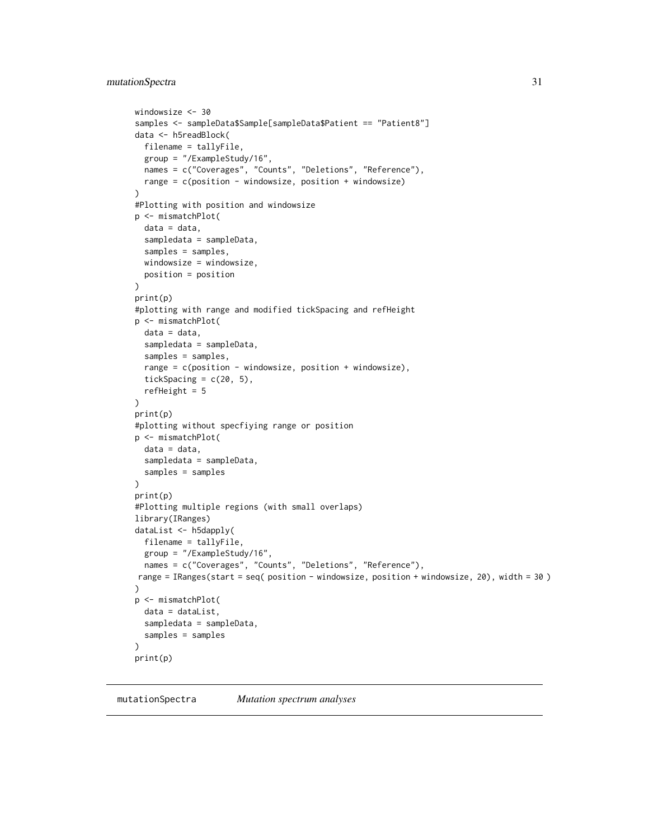```
windowsize <- 30
samples <- sampleData$Sample[sampleData$Patient == "Patient8"]
data <- h5readBlock(
  filename = tallyFile,
  group = "/ExampleStudy/16",
 names = c("Coverages", "Counts", "Deletions", "Reference"),
 range = c(position - windowsize, position + windowsize)
)
#Plotting with position and windowsize
p <- mismatchPlot(
  data = data,
  sampledata = sampleData,
  samples = samples,
 windowsize = windowsize,
 position = position
)
print(p)
#plotting with range and modified tickSpacing and refHeight
p <- mismatchPlot(
 data = data,
  sampledata = sampleData,
  samples = samples,
  range = c(position - windowsize, position + windowsize),
  tickSpacing = c(20, 5),
 refHeight = 5
)
print(p)
#plotting without specfiying range or position
p <- mismatchPlot(
 data = data,
  sampledata = sampleData,
  samples = samples
\lambdaprint(p)
#Plotting multiple regions (with small overlaps)
library(IRanges)
dataList <- h5dapply(
 filename = tallyFile,
  group = "/ExampleStudy/16",
 names = c("Coverages", "Counts", "Deletions", "Reference"),
range = IRanges(start = seq( position - windowsize, position + windowsize, 20), width = 30 )
)
p <- mismatchPlot(
  data = dataList,
  sampledata = sampleData,
 samples = samples
)
print(p)
```

```
mutationSpectra Mutation spectrum analyses
```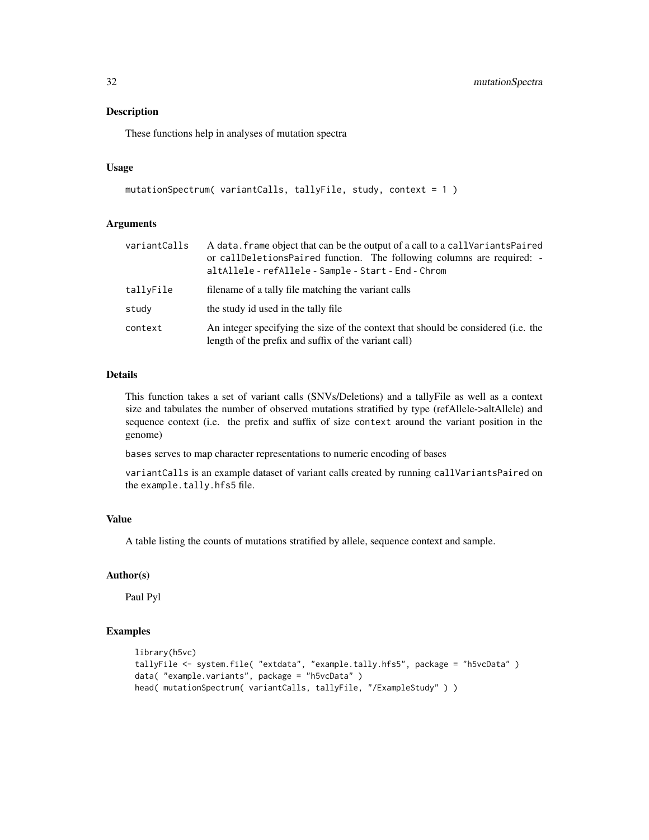These functions help in analyses of mutation spectra

#### Usage

```
mutationSpectrum( variantCalls, tallyFile, study, context = 1 )
```
#### Arguments

| variantCalls | A data. frame object that can be the output of a call to a call Variants Paired<br>or callDeletionsPaired function. The following columns are required: -<br>altAllele - refAllele - Sample - Start - End - Chrom |
|--------------|-------------------------------------------------------------------------------------------------------------------------------------------------------------------------------------------------------------------|
| tallyFile    | filename of a tally file matching the variant calls                                                                                                                                                               |
| study        | the study id used in the tally file.                                                                                                                                                                              |
| context      | An integer specifying the size of the context that should be considered (i.e. the<br>length of the prefix and suffix of the variant call)                                                                         |

# Details

This function takes a set of variant calls (SNVs/Deletions) and a tallyFile as well as a context size and tabulates the number of observed mutations stratified by type (refAllele->altAllele) and sequence context (i.e. the prefix and suffix of size context around the variant position in the genome)

bases serves to map character representations to numeric encoding of bases

variantCalls is an example dataset of variant calls created by running callVariantsPaired on the example.tally.hfs5 file.

# Value

A table listing the counts of mutations stratified by allele, sequence context and sample.

#### Author(s)

Paul Pyl

```
library(h5vc)
tallyFile <- system.file( "extdata", "example.tally.hfs5", package = "h5vcData" )
data( "example.variants", package = "h5vcData" )
head( mutationSpectrum( variantCalls, tallyFile, "/ExampleStudy" ) )
```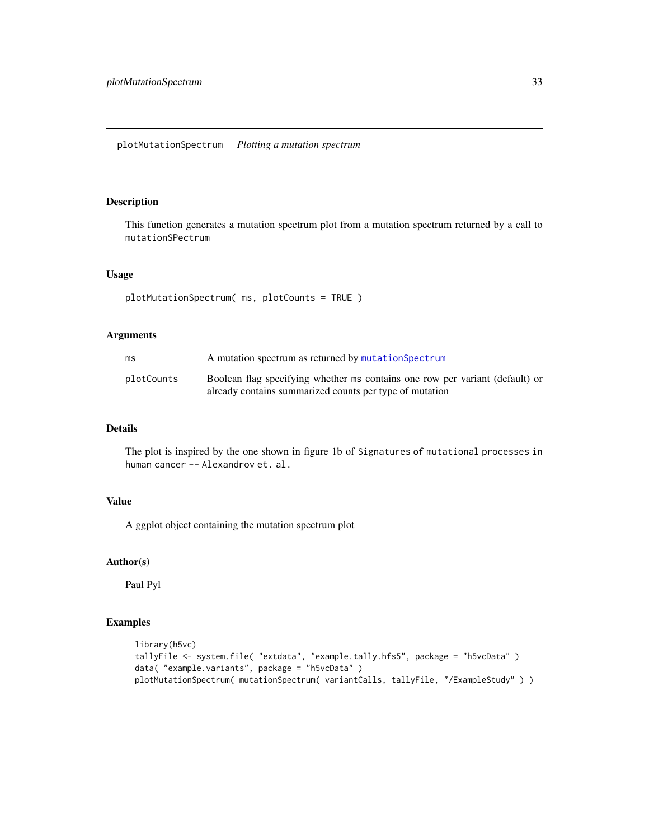<span id="page-32-0"></span>This function generates a mutation spectrum plot from a mutation spectrum returned by a call to mutationSPectrum

# Usage

```
plotMutationSpectrum( ms, plotCounts = TRUE )
```
#### Arguments

| ms         | A mutation spectrum as returned by mutation Spectrum                                                                                    |
|------------|-----------------------------------------------------------------------------------------------------------------------------------------|
| plotCounts | Boolean flag specifying whether ms contains one row per variant (default) or<br>already contains summarized counts per type of mutation |

# Details

The plot is inspired by the one shown in figure 1b of Signatures of mutational processes in human cancer -- Alexandrov et. al.

# Value

A ggplot object containing the mutation spectrum plot

#### Author(s)

Paul Pyl

```
library(h5vc)
tallyFile <- system.file( "extdata", "example.tally.hfs5", package = "h5vcData" )
data( "example.variants", package = "h5vcData" )
plotMutationSpectrum( mutationSpectrum( variantCalls, tallyFile, "/ExampleStudy" ) )
```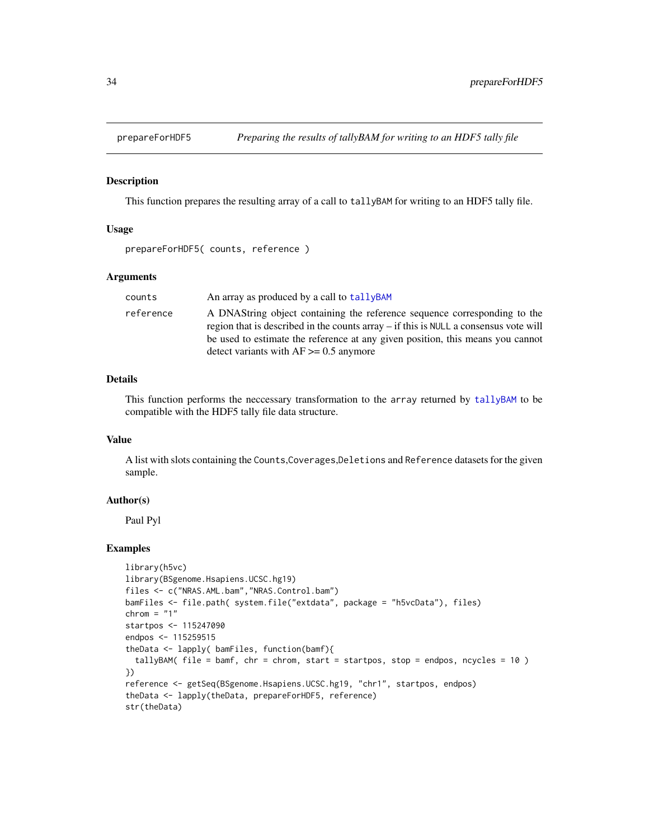<span id="page-33-1"></span><span id="page-33-0"></span>

This function prepares the resulting array of a call to tallyBAM for writing to an HDF5 tally file.

#### Usage

prepareForHDF5( counts, reference )

#### Arguments

| counts    | An array as produced by a call to tally BAM                                                                                                                                                                                                                                                             |
|-----------|---------------------------------------------------------------------------------------------------------------------------------------------------------------------------------------------------------------------------------------------------------------------------------------------------------|
| reference | A DNAString object containing the reference sequence corresponding to the<br>region that is described in the counts $\arctan y - i f$ this is NULL a consensus vote will<br>be used to estimate the reference at any given position, this means you cannot<br>detect variants with $AF \ge 0.5$ anymore |

# Details

This function performs the neccessary transformation to the array returned by [tallyBAM](#page-35-1) to be compatible with the HDF5 tally file data structure.

#### Value

A list with slots containing the Counts,Coverages,Deletions and Reference datasets for the given sample.

#### Author(s)

Paul Pyl

```
library(h5vc)
library(BSgenome.Hsapiens.UCSC.hg19)
files <- c("NRAS.AML.bam","NRAS.Control.bam")
bamFiles <- file.path( system.file("extdata", package = "h5vcData"), files)
chrom = "1"startpos <- 115247090
endpos <- 115259515
theData <- lapply( bamFiles, function(bamf){
  tallyBAM( file = bamf, chr = chrom, start = startpos, stop = endpos, ncycles = 10 )
})
reference <- getSeq(BSgenome.Hsapiens.UCSC.hg19, "chr1", startpos, endpos)
theData <- lapply(theData, prepareForHDF5, reference)
str(theData)
```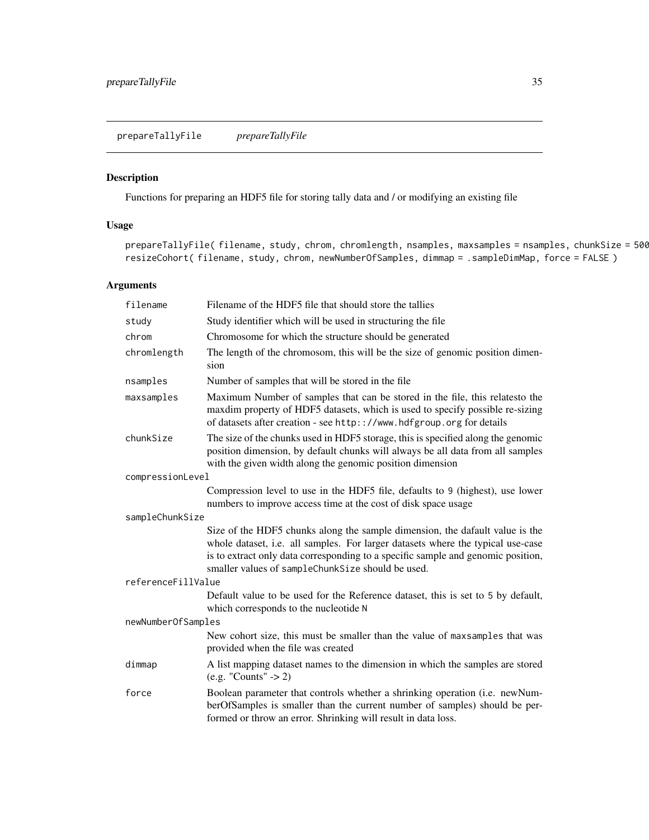<span id="page-34-1"></span><span id="page-34-0"></span>Functions for preparing an HDF5 file for storing tally data and / or modifying an existing file

# Usage

prepareTallyFile( filename, study, chrom, chromlength, nsamples, maxsamples = nsamples, chunkSize = 500 resizeCohort( filename, study, chrom, newNumberOfSamples, dimmap = .sampleDimMap, force = FALSE )

# Arguments

| filename           | Filename of the HDF5 file that should store the tallies                                                                                                                                                                                                                                                  |  |
|--------------------|----------------------------------------------------------------------------------------------------------------------------------------------------------------------------------------------------------------------------------------------------------------------------------------------------------|--|
| study              | Study identifier which will be used in structuring the file                                                                                                                                                                                                                                              |  |
| chrom              | Chromosome for which the structure should be generated                                                                                                                                                                                                                                                   |  |
| chromlength        | The length of the chromosom, this will be the size of genomic position dimen-<br>sion                                                                                                                                                                                                                    |  |
| nsamples           | Number of samples that will be stored in the file                                                                                                                                                                                                                                                        |  |
| maxsamples         | Maximum Number of samples that can be stored in the file, this relatesto the<br>maxdim property of HDF5 datasets, which is used to specify possible re-sizing<br>of datasets after creation - see http:://www.hdfgroup.org for details                                                                   |  |
| chunkSize          | The size of the chunks used in HDF5 storage, this is specified along the genomic<br>position dimension, by default chunks will always be all data from all samples<br>with the given width along the genomic position dimension                                                                          |  |
| compressionLevel   |                                                                                                                                                                                                                                                                                                          |  |
|                    | Compression level to use in the HDF5 file, defaults to 9 (highest), use lower<br>numbers to improve access time at the cost of disk space usage                                                                                                                                                          |  |
| sampleChunkSize    |                                                                                                                                                                                                                                                                                                          |  |
|                    | Size of the HDF5 chunks along the sample dimension, the dafault value is the<br>whole dataset, i.e. all samples. For larger datasets where the typical use-case<br>is to extract only data corresponding to a specific sample and genomic position,<br>smaller values of sampleChunkSize should be used. |  |
| referenceFillValue |                                                                                                                                                                                                                                                                                                          |  |
|                    | Default value to be used for the Reference dataset, this is set to 5 by default,<br>which corresponds to the nucleotide N                                                                                                                                                                                |  |
| newNumberOfSamples |                                                                                                                                                                                                                                                                                                          |  |
|                    | New cohort size, this must be smaller than the value of maxsamples that was<br>provided when the file was created                                                                                                                                                                                        |  |
| dimmap             | A list mapping dataset names to the dimension in which the samples are stored<br>$(e.g. "Counts" -> 2)$                                                                                                                                                                                                  |  |
| force              | Boolean parameter that controls whether a shrinking operation (i.e. newNum-<br>berOfSamples is smaller than the current number of samples) should be per-<br>formed or throw an error. Shrinking will result in data loss.                                                                               |  |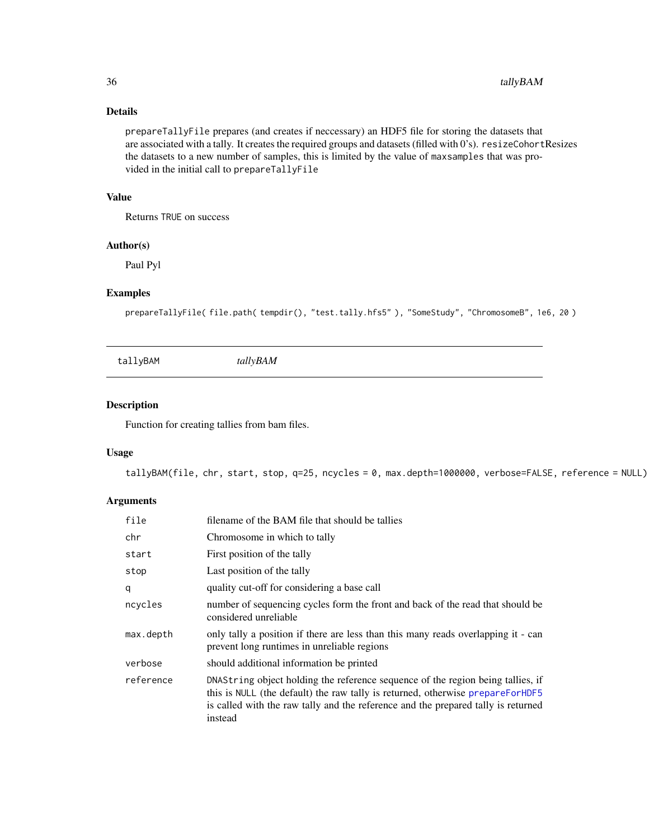# Details

prepareTallyFile prepares (and creates if neccessary) an HDF5 file for storing the datasets that are associated with a tally. It creates the required groups and datasets (filled with 0's). resizeCohortResizes the datasets to a new number of samples, this is limited by the value of maxsamples that was provided in the initial call to prepareTallyFile

# Value

Returns TRUE on success

# Author(s)

Paul Pyl

# Examples

prepareTallyFile(file.path(tempdir(), "test.tally.hfs5"), "SomeStudy", "ChromosomeB", 1e6, 20)

<span id="page-35-1"></span>tallyBAM *tallyBAM*

# Description

Function for creating tallies from bam files.

#### Usage

tallyBAM(file, chr, start, stop, q=25, ncycles = 0, max.depth=1000000, verbose=FALSE, reference = NULL)

# Arguments

| file      | filename of the BAM file that should be tallies                                                                                                                                                                                                                   |
|-----------|-------------------------------------------------------------------------------------------------------------------------------------------------------------------------------------------------------------------------------------------------------------------|
| chr       | Chromosome in which to tally                                                                                                                                                                                                                                      |
| start     | First position of the tally                                                                                                                                                                                                                                       |
| stop      | Last position of the tally                                                                                                                                                                                                                                        |
| q         | quality cut-off for considering a base call                                                                                                                                                                                                                       |
| ncycles   | number of sequencing cycles form the front and back of the read that should be<br>considered unreliable                                                                                                                                                           |
| max.depth | only tally a position if there are less than this many reads overlapping it - can<br>prevent long runtimes in unreliable regions                                                                                                                                  |
| verbose   | should additional information be printed                                                                                                                                                                                                                          |
| reference | DNAString object holding the reference sequence of the region being tallies, if<br>this is NULL (the default) the raw tally is returned, otherwise prepareForHDF5<br>is called with the raw tally and the reference and the prepared tally is returned<br>instead |

<span id="page-35-0"></span>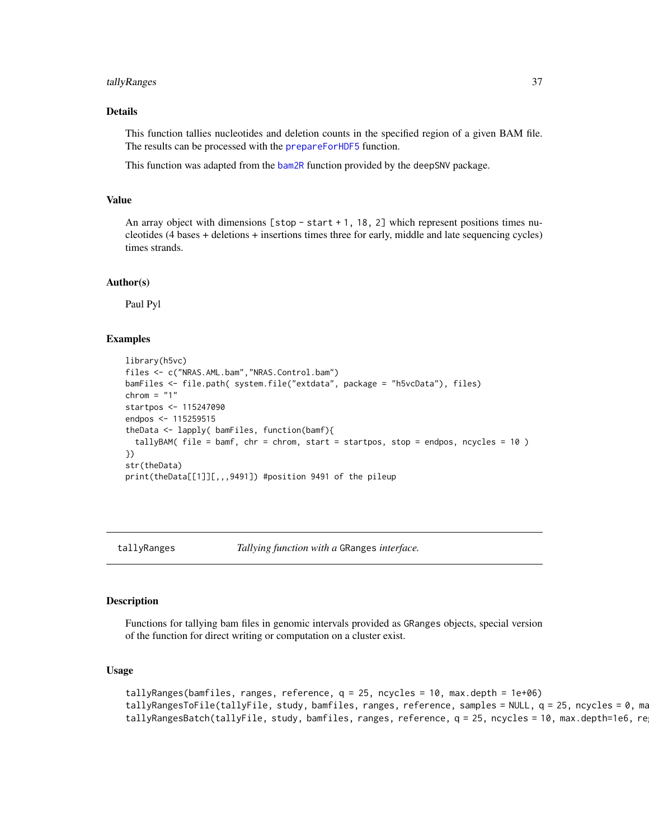#### <span id="page-36-0"></span>tallyRanges 37

# Details

This function tallies nucleotides and deletion counts in the specified region of a given BAM file. The results can be processed with the [prepareForHDF5](#page-33-1) function.

This function was adapted from the [bam2R](#page-0-0) function provided by the deepSNV package.

#### Value

An array object with dimensions  $[stop - start + 1, 18, 2]$  which represent positions times nucleotides (4 bases + deletions + insertions times three for early, middle and late sequencing cycles) times strands.

#### Author(s)

Paul Pyl

#### Examples

```
library(h5vc)
files <- c("NRAS.AML.bam","NRAS.Control.bam")
bamFiles <- file.path( system.file("extdata", package = "h5vcData"), files)
chrom = "1"
startpos <- 115247090
endpos <- 115259515
theData <- lapply( bamFiles, function(bamf){
  tallyBAM( file = bamf, chr = chrom, start = startpos, stop = endpos, ncycles = 10 )
})
str(theData)
print(theData[[1]][,,,9491]) #position 9491 of the pileup
```
<span id="page-36-1"></span>tallyRanges *Tallying function with a* GRanges *interface.*

#### Description

Functions for tallying bam files in genomic intervals provided as GRanges objects, special version of the function for direct writing or computation on a cluster exist.

#### Usage

```
tallyRanges(bamfiles, ranges, reference, q = 25, ncycles = 10, max.depth = 1e+06)
tallyRangesToFile(tallyFile, study, bamfiles, ranges, reference, samples = NULL, q = 25, ncycles = 0, ma
tallyRangesBatch(tallyFile, study, bamfiles, ranges, reference, q = 25, ncycles = 10, max.depth=1e6, re
```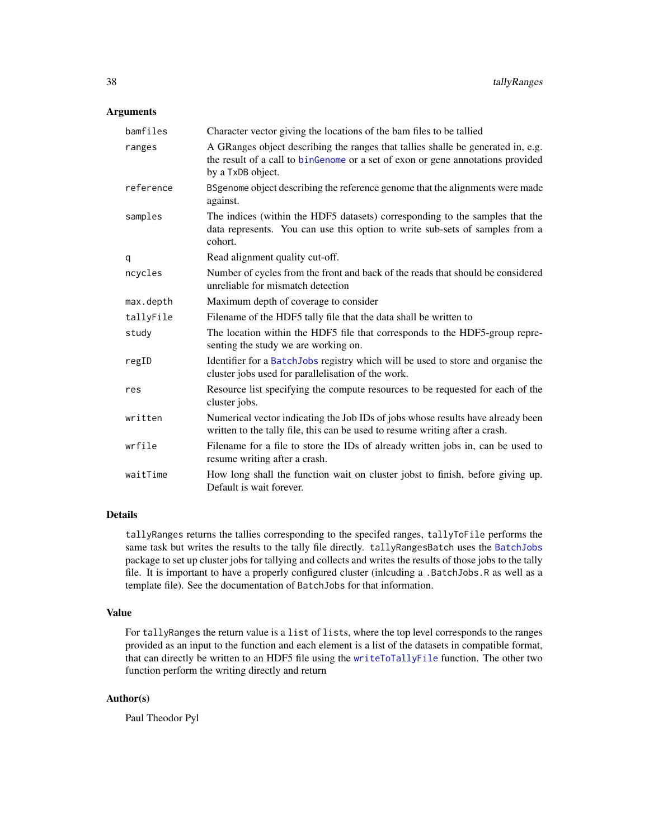#### <span id="page-37-0"></span>Arguments

| bamfiles  | Character vector giving the locations of the bam files to be tallied                                                                                                                     |
|-----------|------------------------------------------------------------------------------------------------------------------------------------------------------------------------------------------|
| ranges    | A GRanges object describing the ranges that tallies shalle be generated in, e.g.<br>the result of a call to binGenome or a set of exon or gene annotations provided<br>by a TxDB object. |
| reference | BS genome object describing the reference genome that the alignments were made<br>against.                                                                                               |
| samples   | The indices (within the HDF5 datasets) corresponding to the samples that the<br>data represents. You can use this option to write sub-sets of samples from a<br>cohort.                  |
| q         | Read alignment quality cut-off.                                                                                                                                                          |
| ncycles   | Number of cycles from the front and back of the reads that should be considered<br>unreliable for mismatch detection                                                                     |
| max.depth | Maximum depth of coverage to consider                                                                                                                                                    |
| tallyFile | Filename of the HDF5 tally file that the data shall be written to                                                                                                                        |
| study     | The location within the HDF5 file that corresponds to the HDF5-group repre-<br>senting the study we are working on.                                                                      |
| regID     | Identifier for a BatchJobs registry which will be used to store and organise the<br>cluster jobs used for parallelisation of the work.                                                   |
| res       | Resource list specifying the compute resources to be requested for each of the<br>cluster jobs.                                                                                          |
| written   | Numerical vector indicating the Job IDs of jobs whose results have already been<br>written to the tally file, this can be used to resume writing after a crash.                          |
| wrfile    | Filename for a file to store the IDs of already written jobs in, can be used to<br>resume writing after a crash.                                                                         |
| waitTime  | How long shall the function wait on cluster jobst to finish, before giving up.<br>Default is wait forever.                                                                               |

# Details

tallyRanges returns the tallies corresponding to the specifed ranges, tallyToFile performs the same task but writes the results to the tally file directly. tallyRangesBatch uses the [BatchJobs](#page-0-0) package to set up cluster jobs for tallying and collects and writes the results of those jobs to the tally file. It is important to have a properly configured cluster (inlcuding a .BatchJobs.R as well as a template file). See the documentation of BatchJobs for that information.

# Value

For tallyRanges the return value is a list of lists, where the top level corresponds to the ranges provided as an input to the function and each element is a list of the datasets in compatible format, that can directly be written to an HDF5 file using the [writeToTallyFile](#page-39-1) function. The other two function perform the writing directly and return

# Author(s)

Paul Theodor Pyl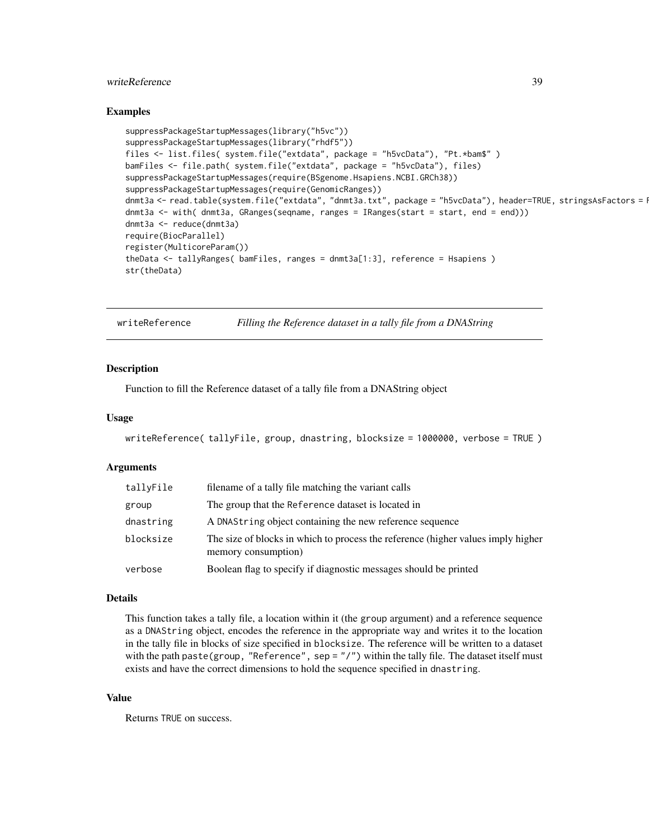# <span id="page-38-0"></span>writeReference 39

#### Examples

```
suppressPackageStartupMessages(library("h5vc"))
suppressPackageStartupMessages(library("rhdf5"))
files <- list.files( system.file("extdata", package = "h5vcData"), "Pt.*bam$" )
bamFiles <- file.path( system.file("extdata", package = "h5vcData"), files)
suppressPackageStartupMessages(require(BSgenome.Hsapiens.NCBI.GRCh38))
suppressPackageStartupMessages(require(GenomicRanges))
dnmt3a <- read.table(system.file("extdata", "dnmt3a.txt", package = "h5vcData"), header=TRUE, stringsAsFactors = I
dnmt3a <- with( dnmt3a, GRanges(seqname, ranges = IRanges(start = start, end = end)))
dnmt3a <- reduce(dnmt3a)
require(BiocParallel)
register(MulticoreParam())
theData <- tallyRanges( bamFiles, ranges = dnmt3a[1:3], reference = Hsapiens )
str(theData)
```
<span id="page-38-1"></span>writeReference *Filling the Reference dataset in a tally file from a DNAString*

#### **Description**

Function to fill the Reference dataset of a tally file from a DNAString object

#### Usage

```
writeReference( tallyFile, group, dnastring, blocksize = 1000000, verbose = TRUE )
```
#### Arguments

| tallyFile | filename of a tally file matching the variant calls                                                     |
|-----------|---------------------------------------------------------------------------------------------------------|
| group     | The group that the Reference dataset is located in                                                      |
| dnastring | A DNAString object containing the new reference sequence                                                |
| blocksize | The size of blocks in which to process the reference (higher values imply higher<br>memory consumption) |
| verbose   | Boolean flag to specify if diagnostic messages should be printed                                        |
|           |                                                                                                         |

#### Details

This function takes a tally file, a location within it (the group argument) and a reference sequence as a DNAString object, encodes the reference in the appropriate way and writes it to the location in the tally file in blocks of size specified in blocksize. The reference will be written to a dataset with the path paste(group, "Reference", sep = "/") within the tally file. The dataset itself must exists and have the correct dimensions to hold the sequence specified in dnastring.

#### Value

Returns TRUE on success.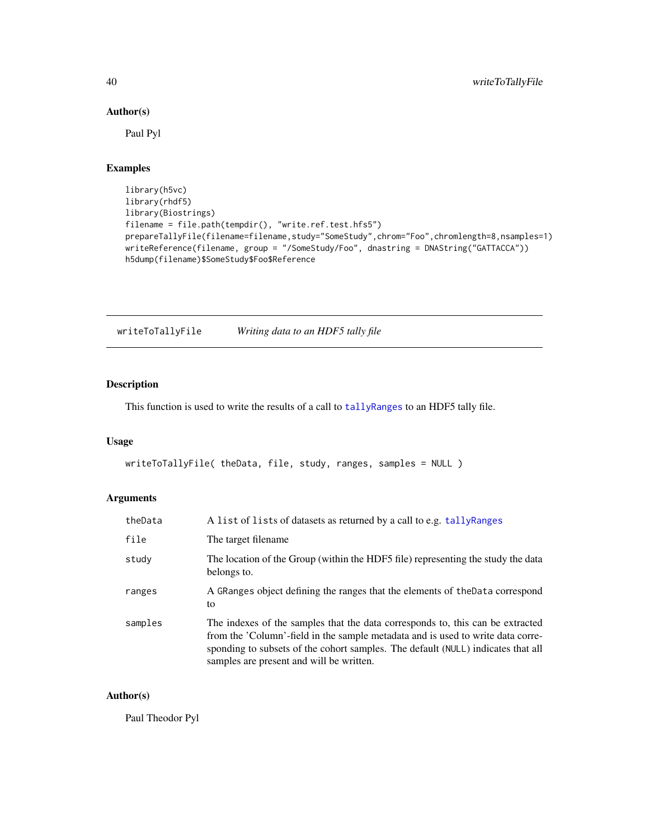# Author(s)

Paul Pyl

# Examples

```
library(h5vc)
library(rhdf5)
library(Biostrings)
filename = file.path(tempdir(), "write.ref.test.hfs5")
prepareTallyFile(filename=filename,study="SomeStudy",chrom="Foo",chromlength=8,nsamples=1)
writeReference(filename, group = "/SomeStudy/Foo", dnastring = DNAString("GATTACCA"))
h5dump(filename)$SomeStudy$Foo$Reference
```
<span id="page-39-1"></span>writeToTallyFile *Writing data to an HDF5 tally file*

# Description

This function is used to write the results of a call to [tallyRanges](#page-36-1) to an HDF5 tally file.

#### Usage

```
writeToTallyFile( theData, file, study, ranges, samples = NULL )
```
# Arguments

| theData | A list of lists of datasets as returned by a call to e.g. tally Ranges                                                                                                                                                                                                                            |
|---------|---------------------------------------------------------------------------------------------------------------------------------------------------------------------------------------------------------------------------------------------------------------------------------------------------|
| file    | The target filename.                                                                                                                                                                                                                                                                              |
| study   | The location of the Group (within the HDF5 file) representing the study the data<br>belongs to.                                                                                                                                                                                                   |
| ranges  | A GRanges object defining the ranges that the elements of the Data correspond<br>to                                                                                                                                                                                                               |
| samples | The indexes of the samples that the data corresponds to, this can be extracted<br>from the 'Column'-field in the sample metadata and is used to write data corre-<br>sponding to subsets of the cohort samples. The default (NULL) indicates that all<br>samples are present and will be written. |

# Author(s)

Paul Theodor Pyl

<span id="page-39-0"></span>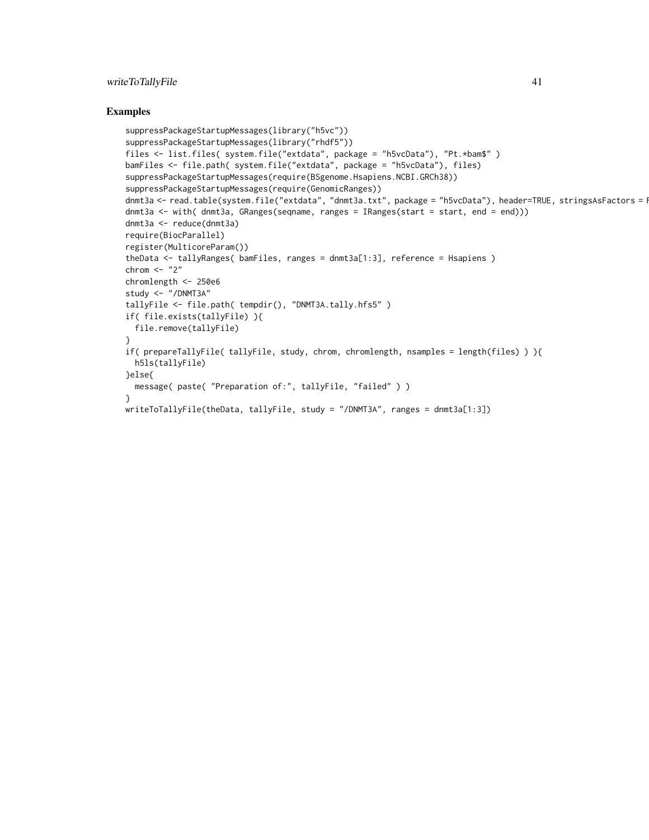# writeToTallyFile 41

```
suppressPackageStartupMessages(library("h5vc"))
suppressPackageStartupMessages(library("rhdf5"))
files <- list.files( system.file("extdata", package = "h5vcData"), "Pt.*bam$" )
bamFiles <- file.path( system.file("extdata", package = "h5vcData"), files)
suppressPackageStartupMessages(require(BSgenome.Hsapiens.NCBI.GRCh38))
suppressPackageStartupMessages(require(GenomicRanges))
dnmt3a <- read.table(system.file("extdata", "dnmt3a.txt", package = "h5vcData"), header=TRUE, stringsAsFactors = I
dnmt3a <- with( dnmt3a, GRanges(seqname, ranges = IRanges(start = start, end = end)))
dnmt3a <- reduce(dnmt3a)
require(BiocParallel)
register(MulticoreParam())
theData <- tallyRanges( bamFiles, ranges = dnmt3a[1:3], reference = Hsapiens )
chrom <- "2"
chromlength <- 250e6
study <- "/DNMT3A"
tallyFile <- file.path( tempdir(), "DNMT3A.tally.hfs5" )
if( file.exists(tallyFile) ){
  file.remove(tallyFile)
}
if( prepareTallyFile( tallyFile, study, chrom, chromlength, nsamples = length(files) ) ){
  h5ls(tallyFile)
}else{
  message( paste( "Preparation of:", tallyFile, "failed" ) )
}
writeToTallyFile(theData, tallyFile, study = "/DNMT3A", ranges = dnmt3a[1:3])
```